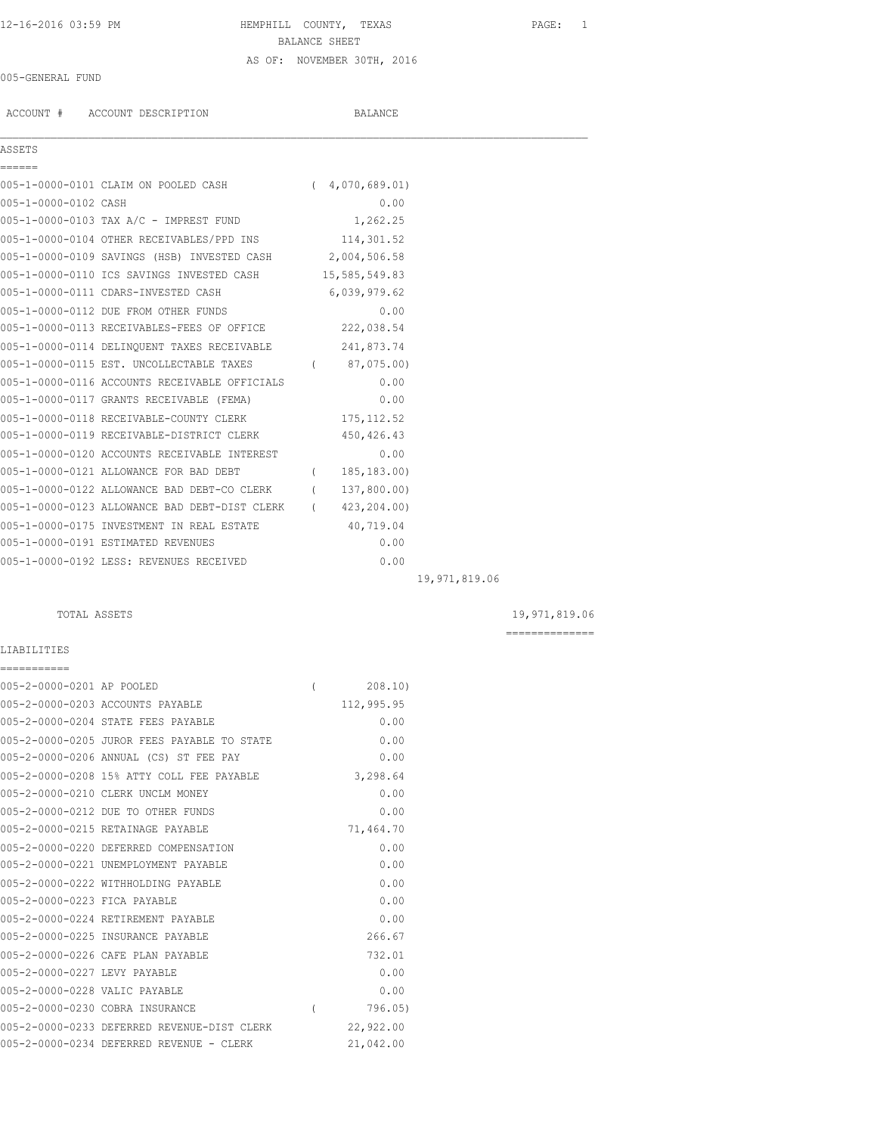## 12-16-2016 03:59 PM HEMPHILL COUNTY, TEXAS PAGE: 1 BALANCE SHEET AS OF: NOVEMBER 30TH, 2016

### 005-GENERAL FUND

ACCOUNT # ACCOUNT DESCRIPTION BALANCE

 $\mathcal{L}_\mathcal{L} = \mathcal{L}_\mathcal{L}$ 

# ASSETS

| ------               |                                                            |                |               |
|----------------------|------------------------------------------------------------|----------------|---------------|
|                      | 005-1-0000-0101 CLAIM ON POOLED CASH (4,070,689.01)        |                |               |
| 005-1-0000-0102 CASH |                                                            | 0.00           |               |
|                      | 005-1-0000-0103 TAX A/C - IMPREST FUND                     | 1,262.25       |               |
|                      | 005-1-0000-0104 OTHER RECEIVABLES/PPD INS 114,301.52       |                |               |
|                      | 005-1-0000-0109 SAVINGS (HSB) INVESTED CASH 2,004,506.58   |                |               |
|                      | 005-1-0000-0110 ICS SAVINGS INVESTED CASH 15,585,549.83    |                |               |
|                      | 005-1-0000-0111 CDARS-INVESTED CASH                        | 6,039,979.62   |               |
|                      | 005-1-0000-0112 DUE FROM OTHER FUNDS                       | 0.00           |               |
|                      | 005-1-0000-0113 RECEIVABLES-FEES OF OFFICE 222,038.54      |                |               |
|                      | 005-1-0000-0114 DELINQUENT TAXES RECEIVABLE 241,873.74     |                |               |
|                      | 005-1-0000-0115 EST. UNCOLLECTABLE TAXES (87,075.00)       |                |               |
|                      | 005-1-0000-0116 ACCOUNTS RECEIVABLE OFFICIALS              | 0.00           |               |
|                      | 005-1-0000-0117 GRANTS RECEIVABLE (FEMA)                   | 0.00           |               |
|                      | 005-1-0000-0118 RECEIVABLE-COUNTY CLERK                    | 175, 112.52    |               |
|                      | 005-1-0000-0119 RECEIVABLE-DISTRICT CLERK                  | 450,426.43     |               |
|                      | 005-1-0000-0120 ACCOUNTS RECEIVABLE INTEREST               | 0.00           |               |
|                      | 005-1-0000-0121 ALLOWANCE FOR BAD DEBT                     | (185, 183, 00) |               |
|                      | 005-1-0000-0122 ALLOWANCE BAD DEBT-CO CLERK (137,800.00)   |                |               |
|                      | 005-1-0000-0123 ALLOWANCE BAD DEBT-DIST CLERK (423,204.00) |                |               |
|                      | 005-1-0000-0175 INVESTMENT IN REAL ESTATE 40,719.04        |                |               |
|                      | 005-1-0000-0191 ESTIMATED REVENUES                         | 0.00           |               |
|                      | 005-1-0000-0192 LESS: REVENUES RECEIVED                    | 0.00           |               |
|                      |                                                            |                | 19,971,819.06 |

### TOTAL ASSETS 19,971,819.06

==============

#### LIABILITIES ===========

| 005-2-0000-0201 AP POOLED     |                                             |          | 208.10     |
|-------------------------------|---------------------------------------------|----------|------------|
|                               | 005-2-0000-0203 ACCOUNTS PAYABLE            |          | 112,995.95 |
|                               | 005-2-0000-0204 STATE FEES PAYABLE          |          | 0.00       |
|                               | 005-2-0000-0205 JUROR FEES PAYABLE TO STATE |          | 0.00       |
|                               | 005-2-0000-0206 ANNUAL (CS) ST FEE PAY      |          | 0.00       |
|                               | 005-2-0000-0208 15% ATTY COLL FEE PAYABLE   |          | 3,298.64   |
|                               | 005-2-0000-0210 CLERK UNCLM MONEY           |          | 0.00       |
|                               | 005-2-0000-0212 DUE TO OTHER FUNDS          |          | 0.00       |
|                               | 005-2-0000-0215 RETAINAGE PAYABLE           |          | 71,464.70  |
|                               | 005-2-0000-0220 DEFERRED COMPENSATION       |          | 0.00       |
|                               | 005-2-0000-0221 UNEMPLOYMENT PAYABLE        |          | 0.00       |
|                               | 005-2-0000-0222 WITHHOLDING PAYABLE         |          | 0.00       |
| 005-2-0000-0223 FICA PAYABLE  |                                             |          | 0.00       |
|                               | 005-2-0000-0224 RETIREMENT PAYABLE          |          | 0.00       |
|                               | 005-2-0000-0225 INSURANCE PAYABLE           |          | 266.67     |
|                               | 005-2-0000-0226 CAFE PLAN PAYABLE           |          | 732.01     |
| 005-2-0000-0227 LEVY PAYABLE  |                                             |          | 0.00       |
| 005-2-0000-0228 VALIC PAYABLE |                                             |          | 0.00       |
|                               | 005-2-0000-0230 COBRA INSURANCE             | $\left($ | 796.05)    |
|                               | 005-2-0000-0233 DEFERRED REVENUE-DIST CLERK |          | 22,922.00  |
|                               | 005-2-0000-0234 DEFERRED REVENUE - CLERK    |          | 21,042.00  |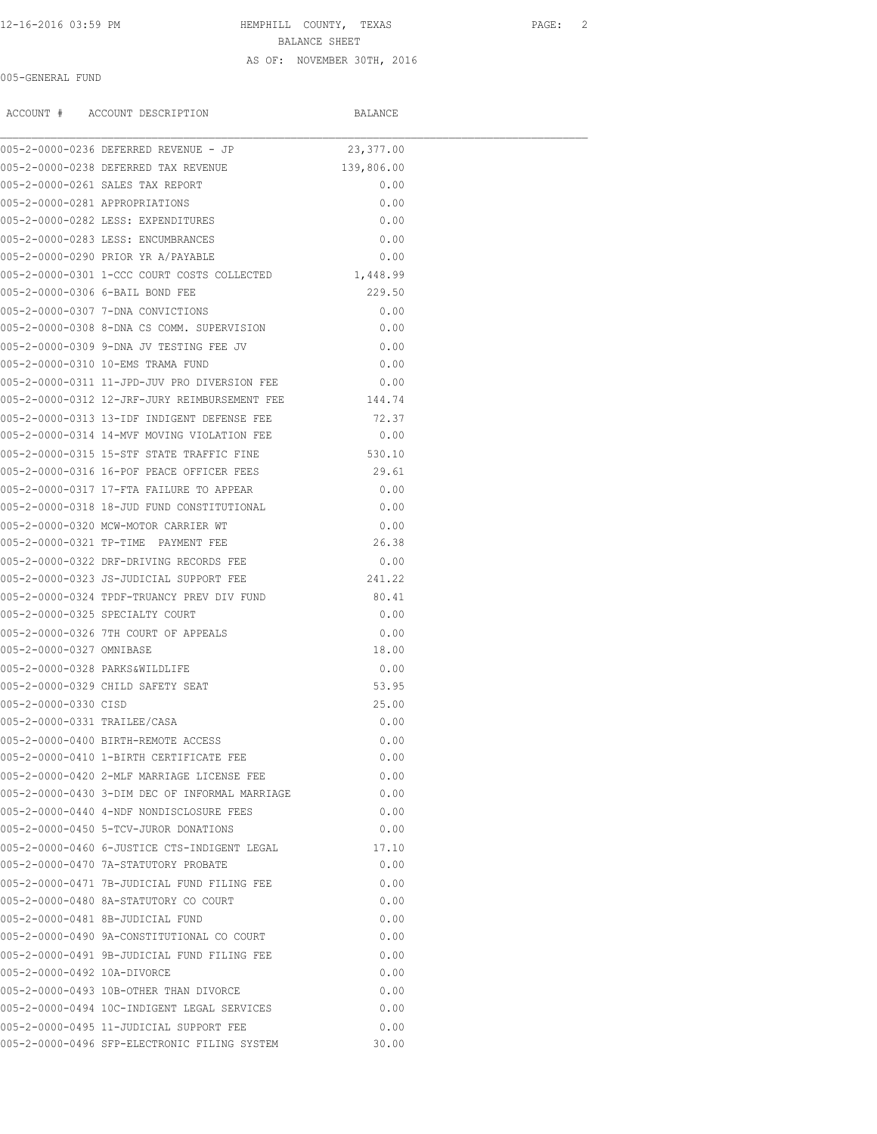## 12-16-2016 03:59 PM HEMPHILL COUNTY, TEXAS PAGE: 2 BALANCE SHEET AS OF: NOVEMBER 30TH, 2016

#### 005-GENERAL FUND

|                                | ACCOUNT # ACCOUNT DESCRIPTION                        | BALANCE    |  |
|--------------------------------|------------------------------------------------------|------------|--|
|                                | 005-2-0000-0236 DEFERRED REVENUE - JP                | 23,377.00  |  |
|                                | 005-2-0000-0238 DEFERRED TAX REVENUE                 | 139,806.00 |  |
|                                | 005-2-0000-0261 SALES TAX REPORT                     | 0.00       |  |
| 005-2-0000-0281 APPROPRIATIONS |                                                      | 0.00       |  |
|                                | 005-2-0000-0282 LESS: EXPENDITURES                   | 0.00       |  |
|                                | 005-2-0000-0283 LESS: ENCUMBRANCES                   | 0.00       |  |
|                                | 005-2-0000-0290 PRIOR YR A/PAYABLE                   | 0.00       |  |
|                                | 005-2-0000-0301 1-CCC COURT COSTS COLLECTED 1,448.99 |            |  |
|                                | 005-2-0000-0306 6-BAIL BOND FEE                      | 229.50     |  |
|                                | 005-2-0000-0307 7-DNA CONVICTIONS                    | 0.00       |  |
|                                | 005-2-0000-0308 8-DNA CS COMM. SUPERVISION           | 0.00       |  |
|                                | 005-2-0000-0309 9-DNA JV TESTING FEE JV              | 0.00       |  |
|                                | 005-2-0000-0310 10-EMS TRAMA FUND                    | 0.00       |  |
|                                | 005-2-0000-0311 11-JPD-JUV PRO DIVERSION FEE         | 0.00       |  |
|                                | 005-2-0000-0312 12-JRF-JURY REIMBURSEMENT FEE 144.74 |            |  |
|                                | 005-2-0000-0313 13-IDF INDIGENT DEFENSE FEE          | 72.37      |  |
|                                | 005-2-0000-0314 14-MVF MOVING VIOLATION FEE          | 0.00       |  |
|                                | 005-2-0000-0315 15-STF STATE TRAFFIC FINE            | 530.10     |  |
|                                | 005-2-0000-0316 16-POF PEACE OFFICER FEES            | 29.61      |  |
|                                | 005-2-0000-0317 17-FTA FAILURE TO APPEAR             | 0.00       |  |
|                                | 005-2-0000-0318 18-JUD FUND CONSTITUTIONAL           | 0.00       |  |
|                                | 005-2-0000-0320 MCW-MOTOR CARRIER WT                 | 0.00       |  |
|                                | 005-2-0000-0321 TP-TIME PAYMENT FEE                  | 26.38      |  |
|                                | 005-2-0000-0322 DRF-DRIVING RECORDS FEE              | 0.00       |  |
|                                | 005-2-0000-0323 JS-JUDICIAL SUPPORT FEE              | 241.22     |  |
|                                | 005-2-0000-0324 TPDF-TRUANCY PREV DIV FUND           | 80.41      |  |
|                                | 005-2-0000-0325 SPECIALTY COURT                      | 0.00       |  |
|                                | 005-2-0000-0326 7TH COURT OF APPEALS                 | 0.00       |  |
| 005-2-0000-0327 OMNIBASE       |                                                      | 18.00      |  |
| 005-2-0000-0328 PARKS&WILDLIFE |                                                      | 0.00       |  |
|                                | 005-2-0000-0329 CHILD SAFETY SEAT                    | 53.95      |  |
| 005-2-0000-0330 CISD           |                                                      | 25.00      |  |
| 005-2-0000-0331 TRAILEE/CASA   |                                                      | 0.00       |  |
|                                | 005-2-0000-0400 BIRTH-REMOTE ACCESS                  | 0.00       |  |
|                                | 005-2-0000-0410 1-BIRTH CERTIFICATE FEE              | 0.00       |  |
|                                | 005-2-0000-0420 2-MLF MARRIAGE LICENSE FEE           | 0.00       |  |
|                                | 005-2-0000-0430 3-DIM DEC OF INFORMAL MARRIAGE       | 0.00       |  |
|                                | 005-2-0000-0440 4-NDF NONDISCLOSURE FEES             | 0.00       |  |
|                                | 005-2-0000-0450 5-TCV-JUROR DONATIONS                | 0.00       |  |
|                                | 005-2-0000-0460 6-JUSTICE CTS-INDIGENT LEGAL         | 17.10      |  |
|                                | 005-2-0000-0470 7A-STATUTORY PROBATE                 | 0.00       |  |
|                                | 005-2-0000-0471 7B-JUDICIAL FUND FILING FEE          | 0.00       |  |
|                                | 005-2-0000-0480 8A-STATUTORY CO COURT                | 0.00       |  |
|                                | 005-2-0000-0481 8B-JUDICIAL FUND                     | 0.00       |  |
|                                | 005-2-0000-0490 9A-CONSTITUTIONAL CO COURT           | 0.00       |  |
|                                | 005-2-0000-0491 9B-JUDICIAL FUND FILING FEE          | 0.00       |  |
| 005-2-0000-0492 10A-DIVORCE    |                                                      | 0.00       |  |
|                                | 005-2-0000-0493 10B-OTHER THAN DIVORCE               | 0.00       |  |
|                                | 005-2-0000-0494 10C-INDIGENT LEGAL SERVICES          | 0.00       |  |
|                                |                                                      |            |  |
|                                | 005-2-0000-0495 11-JUDICIAL SUPPORT FEE              | 0.00       |  |
|                                | 005-2-0000-0496 SFP-ELECTRONIC FILING SYSTEM         | 30.00      |  |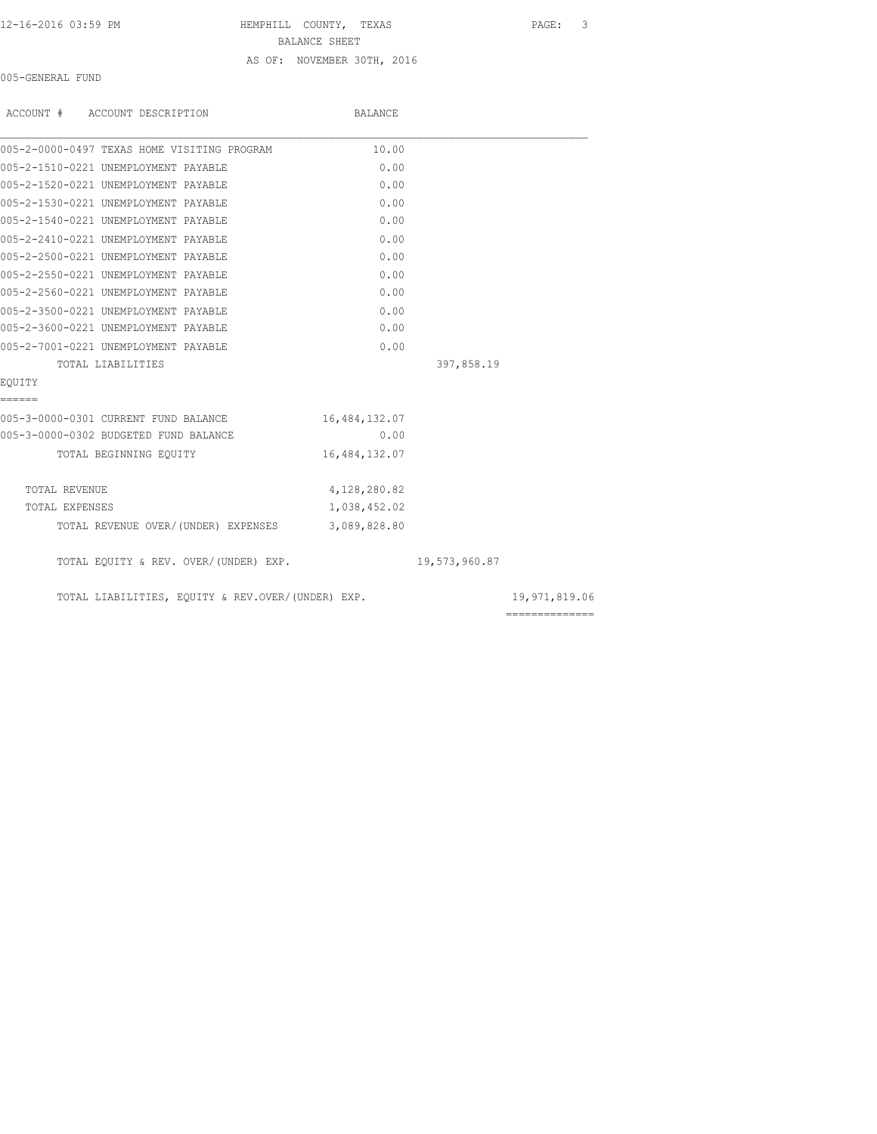12-16-2016 03:59 PM HEMPHILL COUNTY, TEXAS PAGE: 3 BALANCE SHEET AS OF: NOVEMBER 30TH, 2016

005-GENERAL FUND

| ACCOUNT # ACCOUNT DESCRIPTION                     | BALANCE       |               |                |
|---------------------------------------------------|---------------|---------------|----------------|
| 005-2-0000-0497 TEXAS HOME VISITING PROGRAM       | 10.00         |               |                |
| 005-2-1510-0221 UNEMPLOYMENT PAYABLE              | 0.00          |               |                |
| 005-2-1520-0221 UNEMPLOYMENT PAYABLE              | 0.00          |               |                |
| 005-2-1530-0221 UNEMPLOYMENT PAYABLE              | 0.00          |               |                |
| 005-2-1540-0221 UNEMPLOYMENT PAYABLE              | 0.00          |               |                |
| 005-2-2410-0221 UNEMPLOYMENT PAYABLE              | 0.00          |               |                |
| 005-2-2500-0221 UNEMPLOYMENT PAYABLE              | 0.00          |               |                |
| 005-2-2550-0221 UNEMPLOYMENT PAYABLE              | 0.00          |               |                |
| 005-2-2560-0221 UNEMPLOYMENT PAYABLE              | 0.00          |               |                |
| 005-2-3500-0221 UNEMPLOYMENT PAYABLE              | 0.00          |               |                |
| 005-2-3600-0221 UNEMPLOYMENT PAYABLE              | 0.00          |               |                |
| 005-2-7001-0221 UNEMPLOYMENT PAYABLE              | 0.00          |               |                |
| TOTAL LIABILITIES                                 |               | 397,858.19    |                |
| EOUITY                                            |               |               |                |
| ======                                            |               |               |                |
| 005-3-0000-0301 CURRENT FUND BALANCE              | 16,484,132.07 |               |                |
| 005-3-0000-0302 BUDGETED FUND BALANCE             | 0.00          |               |                |
| TOTAL BEGINNING EOUITY                            | 16,484,132.07 |               |                |
| TOTAL REVENUE                                     | 4,128,280.82  |               |                |
| TOTAL EXPENSES                                    | 1,038,452.02  |               |                |
| TOTAL REVENUE OVER/(UNDER) EXPENSES 3,089,828.80  |               |               |                |
| TOTAL EQUITY & REV. OVER/(UNDER) EXP.             |               | 19,573,960.87 |                |
| TOTAL LIABILITIES, EQUITY & REV.OVER/(UNDER) EXP. |               |               | 19,971,819.06  |
|                                                   |               |               | ============== |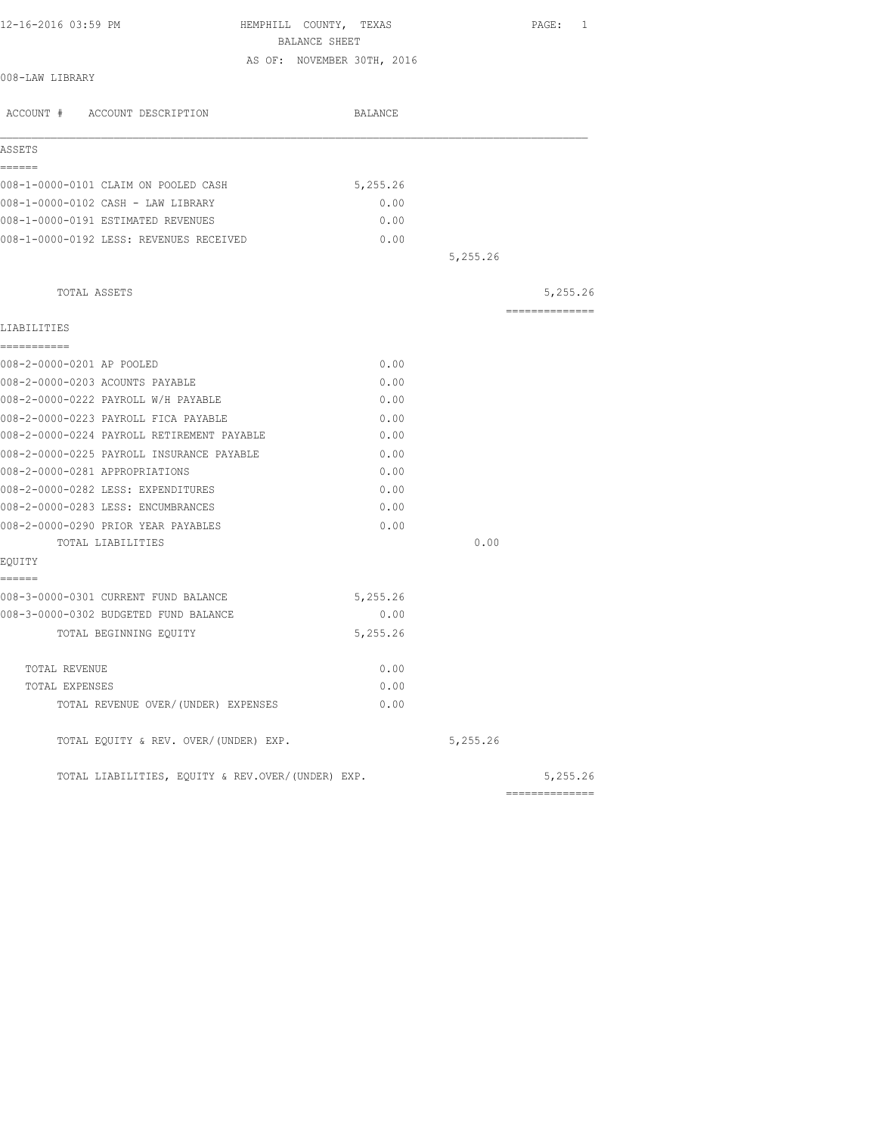| 12-16-2016 03:59 PM                               | HEMPHILL COUNTY, TEXAS<br>BALANCE SHEET | PAGE: 1        |
|---------------------------------------------------|-----------------------------------------|----------------|
|                                                   | AS OF: NOVEMBER 30TH, 2016              |                |
| 008-LAW LIBRARY                                   |                                         |                |
| ACCOUNT # ACCOUNT DESCRIPTION                     | BALANCE                                 |                |
| ASSETS                                            |                                         |                |
| ======                                            |                                         |                |
| 008-1-0000-0101 CLAIM ON POOLED CASH              | 5,255.26                                |                |
| 008-1-0000-0102 CASH - LAW LIBRARY                | 0.00                                    |                |
| 008-1-0000-0191 ESTIMATED REVENUES                | 0.00                                    |                |
| 008-1-0000-0192 LESS: REVENUES RECEIVED           | 0.00                                    |                |
|                                                   | 5,255.26                                |                |
| TOTAL ASSETS                                      |                                         | 5,255.26       |
|                                                   |                                         | ============== |
| LIABILITIES                                       |                                         |                |
| -----------<br>008-2-0000-0201 AP POOLED          | 0.00                                    |                |
| 008-2-0000-0203 ACOUNTS PAYABLE                   | 0.00                                    |                |
| 008-2-0000-0222 PAYROLL W/H PAYABLE               | 0.00                                    |                |
| 008-2-0000-0223 PAYROLL FICA PAYABLE              | 0.00                                    |                |
| 008-2-0000-0224 PAYROLL RETIREMENT PAYABLE        | 0.00                                    |                |
| 008-2-0000-0225 PAYROLL INSURANCE PAYABLE         | 0.00                                    |                |
| 008-2-0000-0281 APPROPRIATIONS                    | 0.00                                    |                |
| 008-2-0000-0282 LESS: EXPENDITURES                | 0.00                                    |                |
| 008-2-0000-0283 LESS: ENCUMBRANCES                | 0.00                                    |                |
| 008-2-0000-0290 PRIOR YEAR PAYABLES               | 0.00                                    |                |
| TOTAL LIABILITIES                                 | 0.00                                    |                |
| EQUITY                                            |                                         |                |
| ======                                            |                                         |                |
| 008-3-0000-0301 CURRENT FUND BALANCE              | 5,255.26                                |                |
| 008-3-0000-0302 BUDGETED FUND BALANCE             | 0.00                                    |                |
| TOTAL BEGINNING EQUITY                            | 5,255.26                                |                |
|                                                   |                                         |                |
| TOTAL REVENUE                                     | 0.00                                    |                |
| TOTAL EXPENSES                                    | 0.00                                    |                |
| TOTAL REVENUE OVER/(UNDER) EXPENSES               | 0.00                                    |                |
| TOTAL EQUITY & REV. OVER/(UNDER) EXP.             | 5,255.26                                |                |
| TOTAL LIABILITIES, EOUITY & REV.OVER/(UNDER) EXP. |                                         | 5,255.26       |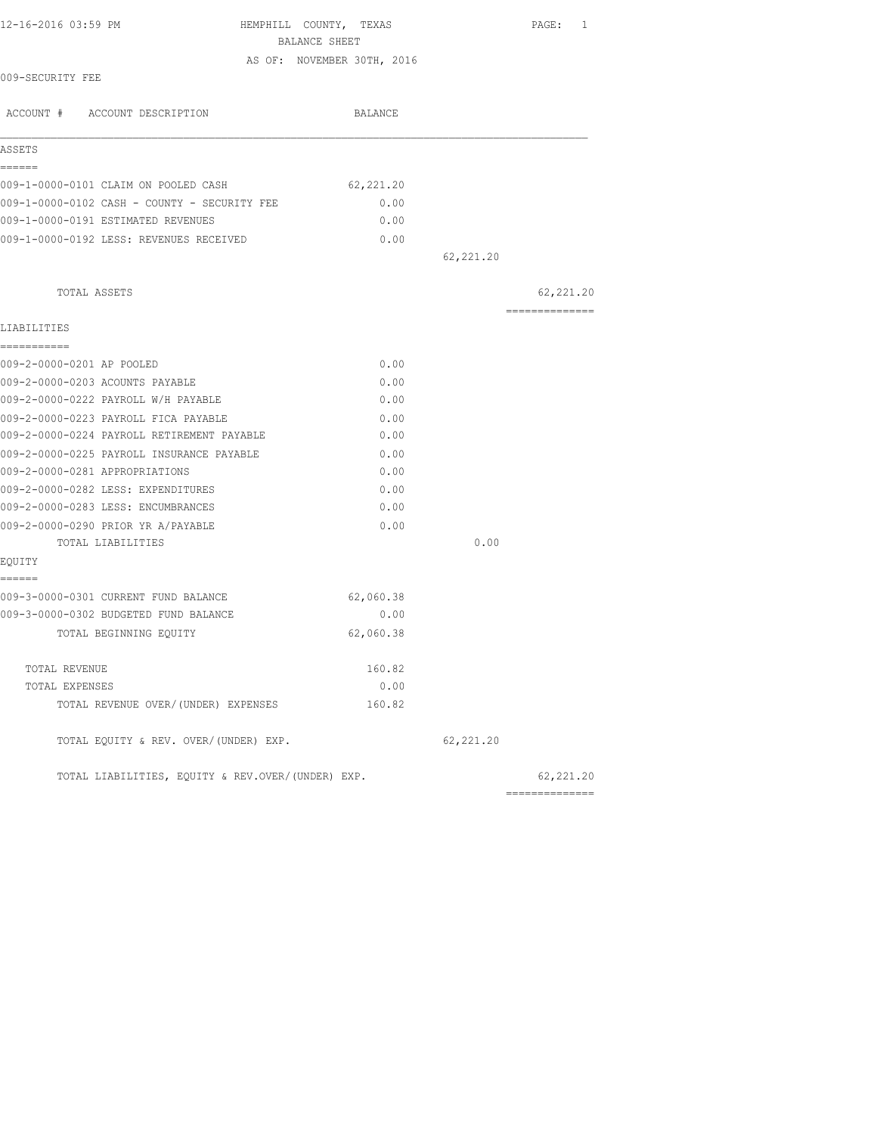| 12-16-2016 03:59 PM                               | HEMPHILL COUNTY, TEXAS     |            | $\texttt{PAGE}$ :<br>$\mathbf{1}$ |
|---------------------------------------------------|----------------------------|------------|-----------------------------------|
|                                                   | BALANCE SHEET              |            |                                   |
|                                                   | AS OF: NOVEMBER 30TH, 2016 |            |                                   |
| 009-SECURITY FEE                                  |                            |            |                                   |
| ACCOUNT # ACCOUNT DESCRIPTION                     | BALANCE                    |            |                                   |
| ASSETS                                            |                            |            |                                   |
| ======<br>009-1-0000-0101 CLAIM ON POOLED CASH    | 62, 221.20                 |            |                                   |
| 009-1-0000-0102 CASH - COUNTY - SECURITY FEE      | 0.00                       |            |                                   |
| 009-1-0000-0191 ESTIMATED REVENUES                | 0.00                       |            |                                   |
| 009-1-0000-0192 LESS: REVENUES RECEIVED           | 0.00                       |            |                                   |
|                                                   |                            | 62,221.20  |                                   |
| TOTAL ASSETS                                      |                            |            | 62, 221.20                        |
|                                                   |                            |            | ==============                    |
| LIABILITIES                                       |                            |            |                                   |
| ===========<br>009-2-0000-0201 AP POOLED          | 0.00                       |            |                                   |
| 009-2-0000-0203 ACOUNTS PAYABLE                   | 0.00                       |            |                                   |
| 009-2-0000-0222 PAYROLL W/H PAYABLE               | 0.00                       |            |                                   |
| 009-2-0000-0223 PAYROLL FICA PAYABLE              | 0.00                       |            |                                   |
| 009-2-0000-0224 PAYROLL RETIREMENT PAYABLE        | 0.00                       |            |                                   |
| 009-2-0000-0225 PAYROLL INSURANCE PAYABLE         | 0.00                       |            |                                   |
| 009-2-0000-0281 APPROPRIATIONS                    | 0.00                       |            |                                   |
| 009-2-0000-0282 LESS: EXPENDITURES                | 0.00                       |            |                                   |
| 009-2-0000-0283 LESS: ENCUMBRANCES                | 0.00                       |            |                                   |
| 009-2-0000-0290 PRIOR YR A/PAYABLE                | 0.00                       |            |                                   |
| TOTAL LIABILITIES                                 |                            | 0.00       |                                   |
| EQUITY                                            |                            |            |                                   |
| ======                                            |                            |            |                                   |
| 009-3-0000-0301 CURRENT FUND BALANCE              | 62,060.38                  |            |                                   |
| 009-3-0000-0302 BUDGETED FUND BALANCE             | 0.00                       |            |                                   |
| TOTAL BEGINNING EQUITY                            | 62,060.38                  |            |                                   |
| TOTAL REVENUE                                     | 160.82                     |            |                                   |
| TOTAL EXPENSES                                    | 0.00                       |            |                                   |
| TOTAL REVENUE OVER/(UNDER) EXPENSES               | 160.82                     |            |                                   |
| TOTAL EQUITY & REV. OVER/(UNDER) EXP.             |                            | 62, 221.20 |                                   |
| TOTAL LIABILITIES, EQUITY & REV.OVER/(UNDER) EXP. |                            |            | 62, 221.20                        |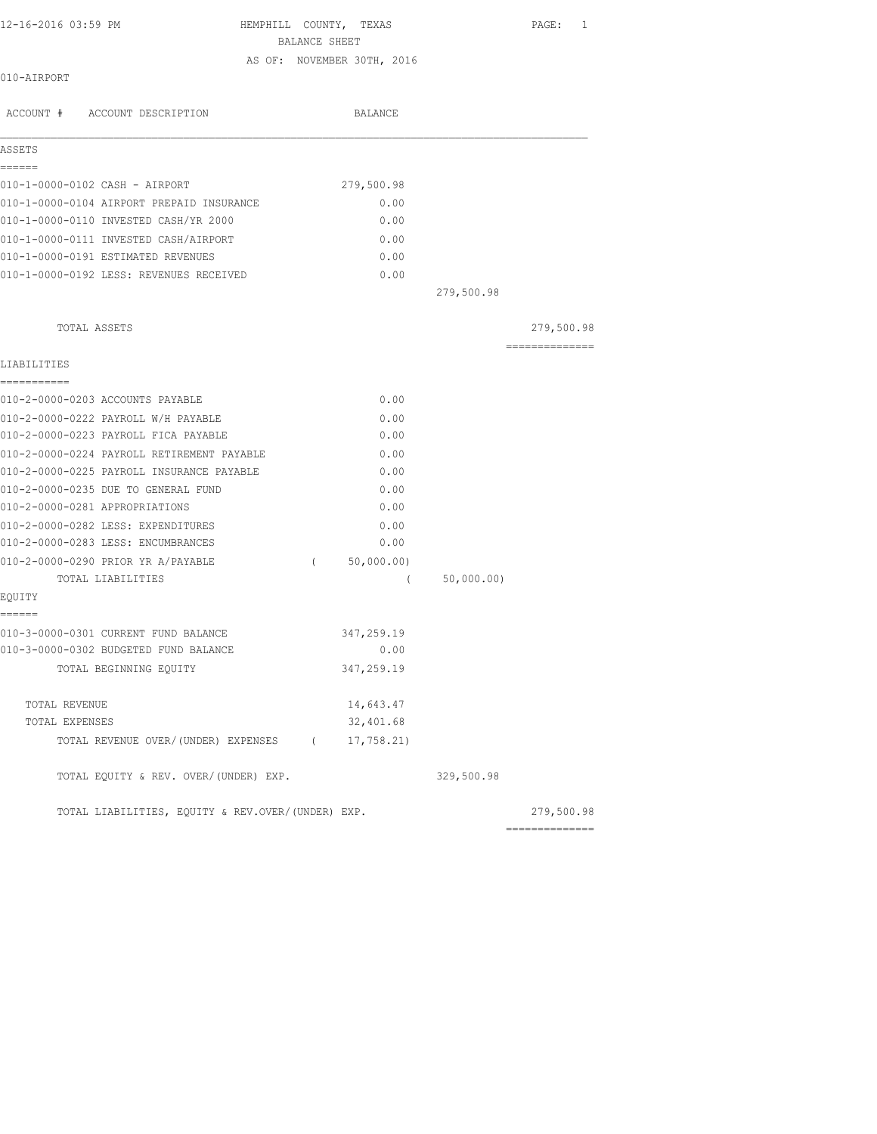HEMPHILL COUNTY, TEXAS PAGE: 1 BALANCE SHEET AS OF: NOVEMBER 30TH, 2016

#### 010-AIRPORT

| ACCOUNT # ACCOUNT DESCRIPTION                     | <b>BALANCE</b>         |            |                                                                                                                                                                                                                                                                                                                                                                                                                                                                                        |
|---------------------------------------------------|------------------------|------------|----------------------------------------------------------------------------------------------------------------------------------------------------------------------------------------------------------------------------------------------------------------------------------------------------------------------------------------------------------------------------------------------------------------------------------------------------------------------------------------|
| ASSETS                                            |                        |            |                                                                                                                                                                                                                                                                                                                                                                                                                                                                                        |
| ------<br>010-1-0000-0102 CASH - AIRPORT          | 279,500.98             |            |                                                                                                                                                                                                                                                                                                                                                                                                                                                                                        |
| 010-1-0000-0104 AIRPORT PREPAID INSURANCE         | 0.00                   |            |                                                                                                                                                                                                                                                                                                                                                                                                                                                                                        |
| 010-1-0000-0110 INVESTED CASH/YR 2000             | 0.00                   |            |                                                                                                                                                                                                                                                                                                                                                                                                                                                                                        |
| 010-1-0000-0111 INVESTED CASH/AIRPORT             | 0.00                   |            |                                                                                                                                                                                                                                                                                                                                                                                                                                                                                        |
| 010-1-0000-0191 ESTIMATED REVENUES                | 0.00                   |            |                                                                                                                                                                                                                                                                                                                                                                                                                                                                                        |
| 010-1-0000-0192 LESS: REVENUES RECEIVED           | 0.00                   |            |                                                                                                                                                                                                                                                                                                                                                                                                                                                                                        |
|                                                   |                        | 279,500.98 |                                                                                                                                                                                                                                                                                                                                                                                                                                                                                        |
| TOTAL ASSETS                                      |                        |            | 279,500.98                                                                                                                                                                                                                                                                                                                                                                                                                                                                             |
| LIABILITIES                                       |                        |            | $\begin{array}{cccccccccc} \multicolumn{2}{c}{} & \multicolumn{2}{c}{} & \multicolumn{2}{c}{} & \multicolumn{2}{c}{} & \multicolumn{2}{c}{} & \multicolumn{2}{c}{} & \multicolumn{2}{c}{} & \multicolumn{2}{c}{} & \multicolumn{2}{c}{} & \multicolumn{2}{c}{} & \multicolumn{2}{c}{} & \multicolumn{2}{c}{} & \multicolumn{2}{c}{} & \multicolumn{2}{c}{} & \multicolumn{2}{c}{} & \multicolumn{2}{c}{} & \multicolumn{2}{c}{} & \multicolumn{2}{c}{} & \multicolumn{2}{c}{} & \mult$ |
| -----------<br>010-2-0000-0203 ACCOUNTS PAYABLE   | 0.00                   |            |                                                                                                                                                                                                                                                                                                                                                                                                                                                                                        |
| 010-2-0000-0222 PAYROLL W/H PAYABLE               | 0.00                   |            |                                                                                                                                                                                                                                                                                                                                                                                                                                                                                        |
| 010-2-0000-0223 PAYROLL FICA PAYABLE              | 0.00                   |            |                                                                                                                                                                                                                                                                                                                                                                                                                                                                                        |
| 010-2-0000-0224 PAYROLL RETIREMENT PAYABLE        | 0.00                   |            |                                                                                                                                                                                                                                                                                                                                                                                                                                                                                        |
| 010-2-0000-0225 PAYROLL INSURANCE PAYABLE         | 0.00                   |            |                                                                                                                                                                                                                                                                                                                                                                                                                                                                                        |
| 010-2-0000-0235 DUE TO GENERAL FUND               | 0.00                   |            |                                                                                                                                                                                                                                                                                                                                                                                                                                                                                        |
| 010-2-0000-0281 APPROPRIATIONS                    | 0.00                   |            |                                                                                                                                                                                                                                                                                                                                                                                                                                                                                        |
| 010-2-0000-0282 LESS: EXPENDITURES                | 0.00                   |            |                                                                                                                                                                                                                                                                                                                                                                                                                                                                                        |
| 010-2-0000-0283 LESS: ENCUMBRANCES                | 0.00                   |            |                                                                                                                                                                                                                                                                                                                                                                                                                                                                                        |
| 010-2-0000-0290 PRIOR YR A/PAYABLE                | 50,000.00)<br>$\left($ |            |                                                                                                                                                                                                                                                                                                                                                                                                                                                                                        |
| TOTAL LIABILITIES                                 | $\overline{ }$         | 50,000.00) |                                                                                                                                                                                                                                                                                                                                                                                                                                                                                        |
| EQUITY<br>======                                  |                        |            |                                                                                                                                                                                                                                                                                                                                                                                                                                                                                        |
| 010-3-0000-0301 CURRENT FUND BALANCE              | 347,259.19             |            |                                                                                                                                                                                                                                                                                                                                                                                                                                                                                        |
| 010-3-0000-0302 BUDGETED FUND BALANCE             | 0.00                   |            |                                                                                                                                                                                                                                                                                                                                                                                                                                                                                        |
| TOTAL BEGINNING EQUITY                            | 347,259.19             |            |                                                                                                                                                                                                                                                                                                                                                                                                                                                                                        |
| TOTAL REVENUE                                     | 14,643.47              |            |                                                                                                                                                                                                                                                                                                                                                                                                                                                                                        |
| TOTAL EXPENSES                                    | 32,401.68              |            |                                                                                                                                                                                                                                                                                                                                                                                                                                                                                        |
| TOTAL REVENUE OVER/(UNDER) EXPENSES (17,758.21)   |                        |            |                                                                                                                                                                                                                                                                                                                                                                                                                                                                                        |
| TOTAL EQUITY & REV. OVER/(UNDER) EXP.             |                        | 329,500.98 |                                                                                                                                                                                                                                                                                                                                                                                                                                                                                        |
| TOTAL LIABILITIES, EQUITY & REV.OVER/(UNDER) EXP. |                        |            | 279,500.98                                                                                                                                                                                                                                                                                                                                                                                                                                                                             |
|                                                   |                        |            | --------------                                                                                                                                                                                                                                                                                                                                                                                                                                                                         |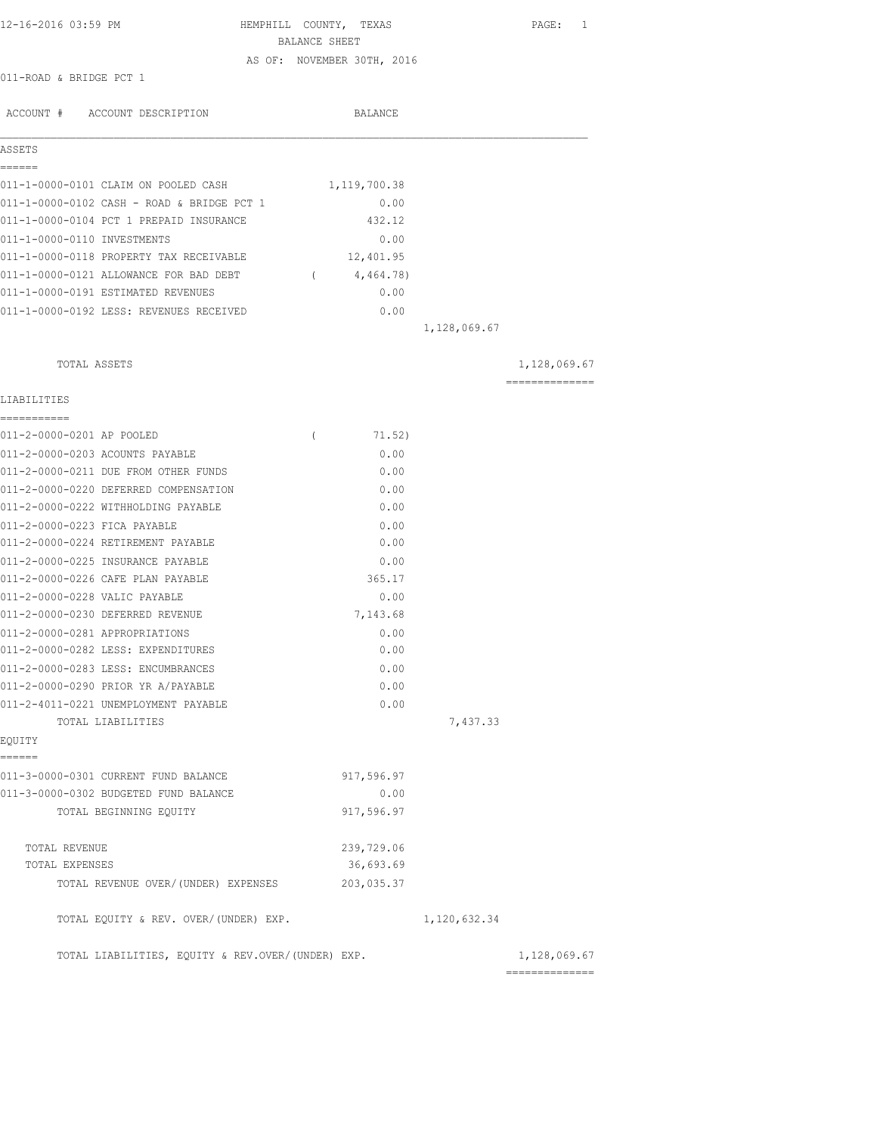| 12-16-2016 03:59 PM                                                          | HEMPHILL COUNTY, TEXAS |                            |              | PAGE: 1                        |
|------------------------------------------------------------------------------|------------------------|----------------------------|--------------|--------------------------------|
|                                                                              | BALANCE SHEET          |                            |              |                                |
|                                                                              |                        | AS OF: NOVEMBER 30TH, 2016 |              |                                |
| 011-ROAD & BRIDGE PCT 1                                                      |                        |                            |              |                                |
| ACCOUNT # ACCOUNT DESCRIPTION                                                |                        | BALANCE                    |              |                                |
| ASSETS                                                                       |                        |                            |              |                                |
| ======                                                                       |                        |                            |              |                                |
| 011-1-0000-0101 CLAIM ON POOLED CASH                                         |                        | 1,119,700.38               |              |                                |
| 011-1-0000-0102 CASH - ROAD & BRIDGE PCT 1                                   |                        | 0.00<br>432.12             |              |                                |
| 011-1-0000-0104 PCT 1 PREPAID INSURANCE                                      |                        |                            |              |                                |
| 011-1-0000-0110 INVESTMENTS<br>011-1-0000-0118 PROPERTY TAX RECEIVABLE       |                        | 0.00<br>12,401.95          |              |                                |
|                                                                              |                        |                            |              |                                |
| 011-1-0000-0121 ALLOWANCE FOR BAD DEBT<br>011-1-0000-0191 ESTIMATED REVENUES | $\overline{a}$         | 4,464.78)<br>0.00          |              |                                |
|                                                                              |                        |                            |              |                                |
| 011-1-0000-0192 LESS: REVENUES RECEIVED                                      |                        | 0.00                       | 1,128,069.67 |                                |
|                                                                              |                        |                            |              |                                |
| TOTAL ASSETS                                                                 |                        |                            |              | 1,128,069.67                   |
| LIABILITIES                                                                  |                        |                            |              | --------------                 |
| ===========                                                                  |                        |                            |              |                                |
| 011-2-0000-0201 AP POOLED<br>011-2-0000-0203 ACOUNTS PAYABLE                 | $\left($               | 71.52)<br>0.00             |              |                                |
| 011-2-0000-0211 DUE FROM OTHER FUNDS                                         |                        | 0.00                       |              |                                |
| 011-2-0000-0220 DEFERRED COMPENSATION                                        |                        | 0.00                       |              |                                |
| 011-2-0000-0222 WITHHOLDING PAYABLE                                          |                        | 0.00                       |              |                                |
| 011-2-0000-0223 FICA PAYABLE                                                 |                        | 0.00                       |              |                                |
| 011-2-0000-0224 RETIREMENT PAYABLE                                           |                        | 0.00                       |              |                                |
| 011-2-0000-0225 INSURANCE PAYABLE                                            |                        | 0.00                       |              |                                |
| 011-2-0000-0226 CAFE PLAN PAYABLE                                            |                        | 365.17                     |              |                                |
| 011-2-0000-0228 VALIC PAYABLE                                                |                        | 0.00                       |              |                                |
| 011-2-0000-0230 DEFERRED REVENUE                                             |                        | 7,143.68                   |              |                                |
| 011-2-0000-0281 APPROPRIATIONS                                               |                        | 0.00                       |              |                                |
| 011-2-0000-0282 LESS: EXPENDITURES                                           |                        | 0.00                       |              |                                |
| 011-2-0000-0283 LESS: ENCUMBRANCES                                           |                        | 0.00                       |              |                                |
| 011-2-0000-0290 PRIOR YR A/PAYABLE                                           |                        | 0.00                       |              |                                |
| 011-2-4011-0221 UNEMPLOYMENT PAYABLE                                         |                        | 0.00                       |              |                                |
| TOTAL LIABILITIES<br>EQUITY                                                  |                        |                            | 7,437.33     |                                |
| ======                                                                       |                        |                            |              |                                |
| 011-3-0000-0301 CURRENT FUND BALANCE                                         |                        | 917,596.97                 |              |                                |
| 011-3-0000-0302 BUDGETED FUND BALANCE                                        |                        | 0.00                       |              |                                |
| TOTAL BEGINNING EQUITY                                                       |                        | 917,596.97                 |              |                                |
| TOTAL REVENUE                                                                |                        | 239,729.06                 |              |                                |
| TOTAL EXPENSES                                                               |                        | 36,693.69                  |              |                                |
| TOTAL REVENUE OVER/(UNDER) EXPENSES                                          |                        | 203,035.37                 |              |                                |
| TOTAL EQUITY & REV. OVER/(UNDER) EXP.                                        |                        |                            | 1,120,632.34 |                                |
| TOTAL LIABILITIES, EQUITY & REV.OVER/(UNDER) EXP.                            |                        |                            |              | 1,128,069.67<br>============== |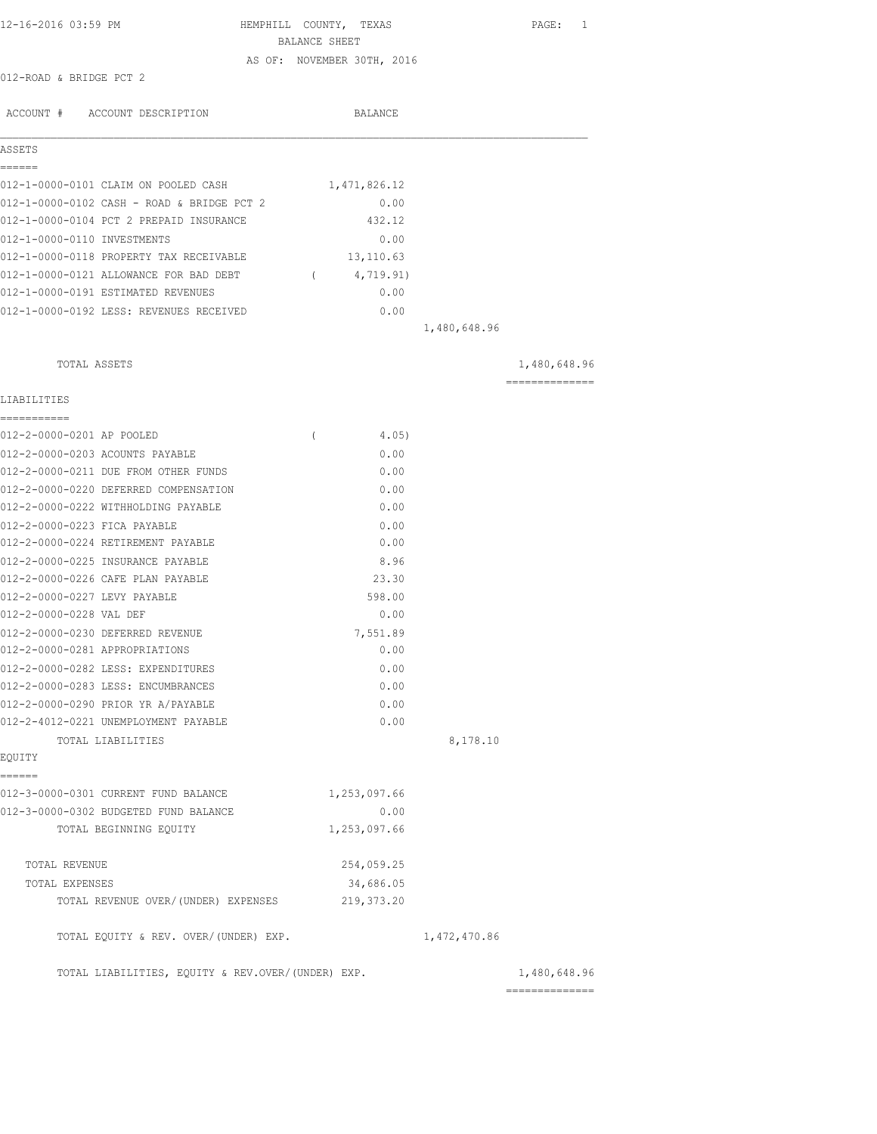| 12-16-2016 03:59 PM                               | HEMPHILL COUNTY, TEXAS<br>BALANCE SHEET | PAGE: 1                        |
|---------------------------------------------------|-----------------------------------------|--------------------------------|
| 012-ROAD & BRIDGE PCT 2                           | AS OF: NOVEMBER 30TH, 2016              |                                |
| ACCOUNT # ACCOUNT DESCRIPTION                     | <b>BALANCE</b>                          |                                |
|                                                   |                                         |                                |
| ASSETS<br>======                                  |                                         |                                |
| 012-1-0000-0101 CLAIM ON POOLED CASH              | 1,471,826.12                            |                                |
| 012-1-0000-0102 CASH - ROAD & BRIDGE PCT 2        | 0.00                                    |                                |
| 012-1-0000-0104 PCT 2 PREPAID INSURANCE           | 432.12                                  |                                |
| 012-1-0000-0110 INVESTMENTS                       | 0.00                                    |                                |
| 012-1-0000-0118 PROPERTY TAX RECEIVABLE           | 13,110.63                               |                                |
| 012-1-0000-0121 ALLOWANCE FOR BAD DEBT            | 4,719.91)<br>$\sqrt{2}$                 |                                |
| 012-1-0000-0191 ESTIMATED REVENUES                | 0.00                                    |                                |
| 012-1-0000-0192 LESS: REVENUES RECEIVED           | 0.00                                    |                                |
|                                                   | 1,480,648.96                            |                                |
| TOTAL ASSETS                                      |                                         | 1,480,648.96                   |
| LIABILITIES                                       |                                         | ---------------                |
| ------------                                      |                                         |                                |
| 012-2-0000-0201 AP POOLED                         | 4.05)<br>$\left($                       |                                |
| 012-2-0000-0203 ACOUNTS PAYABLE                   | 0.00                                    |                                |
| 012-2-0000-0211 DUE FROM OTHER FUNDS              | 0.00                                    |                                |
| 012-2-0000-0220 DEFERRED COMPENSATION             | 0.00                                    |                                |
| 012-2-0000-0222 WITHHOLDING PAYABLE               | 0.00                                    |                                |
| 012-2-0000-0223 FICA PAYABLE                      | 0.00                                    |                                |
| 012-2-0000-0224 RETIREMENT PAYABLE                | 0.00                                    |                                |
| 012-2-0000-0225 INSURANCE PAYABLE                 | 8.96                                    |                                |
| 012-2-0000-0226 CAFE PLAN PAYABLE                 | 23.30                                   |                                |
| 012-2-0000-0227 LEVY PAYABLE                      | 598.00                                  |                                |
| 012-2-0000-0228 VAL DEF                           | 0.00                                    |                                |
| 012-2-0000-0230 DEFERRED REVENUE                  | 7,551.89                                |                                |
| 012-2-0000-0281 APPROPRIATIONS                    | 0.00                                    |                                |
| 012-2-0000-0282 LESS: EXPENDITURES                | 0.00                                    |                                |
| 012-2-0000-0283 LESS: ENCUMBRANCES                | 0.00                                    |                                |
| 012-2-0000-0290 PRIOR YR A/PAYABLE                | 0.00                                    |                                |
| 012-2-4012-0221 UNEMPLOYMENT PAYABLE              | 0.00                                    |                                |
| TOTAL LIABILITIES                                 |                                         | 8,178.10                       |
| EQUITY<br>======                                  |                                         |                                |
| 012-3-0000-0301 CURRENT FUND BALANCE              | 1,253,097.66                            |                                |
| 012-3-0000-0302 BUDGETED FUND BALANCE             | 0.00                                    |                                |
| TOTAL BEGINNING EQUITY                            | 1,253,097.66                            |                                |
| TOTAL REVENUE                                     | 254,059.25                              |                                |
| TOTAL EXPENSES                                    | 34,686.05                               |                                |
| TOTAL REVENUE OVER/(UNDER) EXPENSES               | 219,373.20                              |                                |
| TOTAL EQUITY & REV. OVER/(UNDER) EXP.             | 1,472,470.86                            |                                |
| TOTAL LIABILITIES, EQUITY & REV.OVER/(UNDER) EXP. |                                         | 1,480,648.96<br>============== |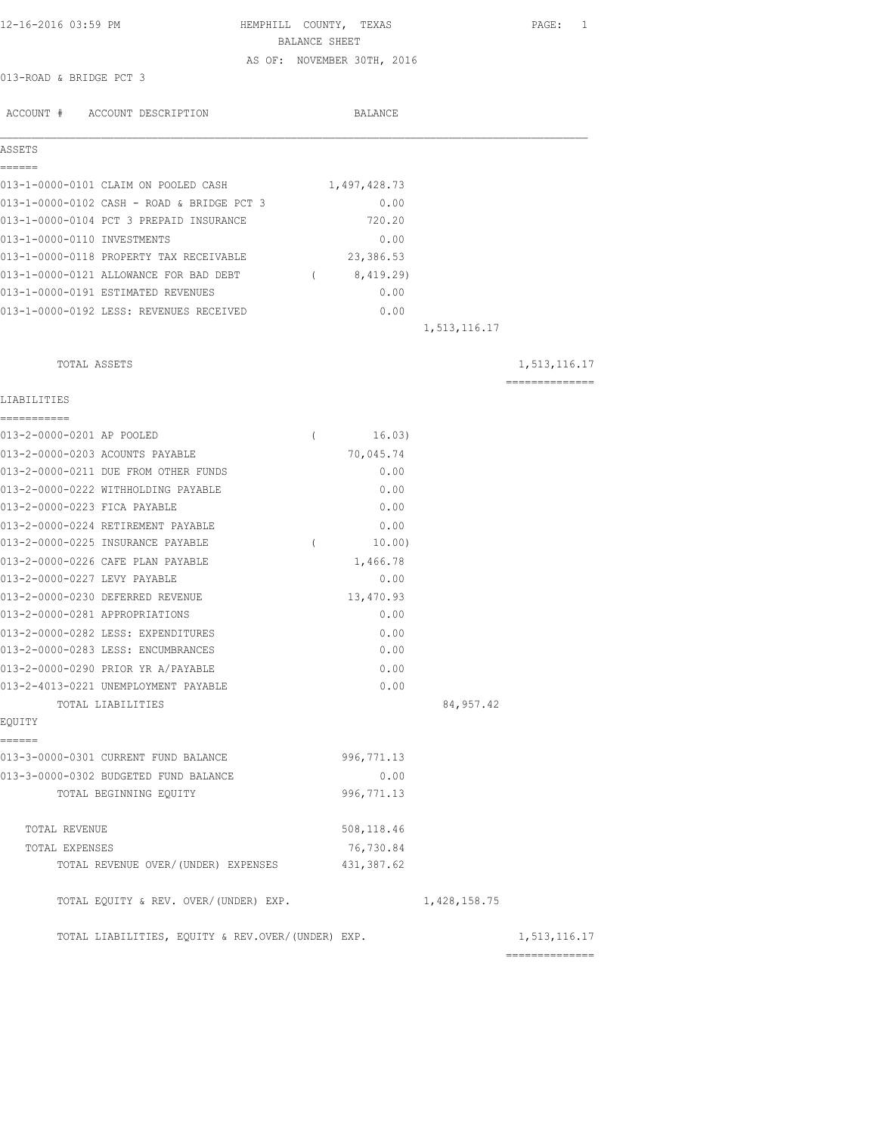| 12-16-2016 03:59 PM                               | HEMPHILL COUNTY, TEXAS<br>BALANCE SHEET | PAGE: 1         |
|---------------------------------------------------|-----------------------------------------|-----------------|
|                                                   | AS OF: NOVEMBER 30TH, 2016              |                 |
| 013-ROAD & BRIDGE PCT 3                           |                                         |                 |
|                                                   |                                         |                 |
| ACCOUNT # ACCOUNT DESCRIPTION                     | BALANCE                                 |                 |
| ASSETS                                            |                                         |                 |
| ======                                            |                                         |                 |
| 013-1-0000-0101 CLAIM ON POOLED CASH              | 1,497,428.73                            |                 |
| 013-1-0000-0102 CASH - ROAD & BRIDGE PCT 3        | 0.00                                    |                 |
| 013-1-0000-0104 PCT 3 PREPAID INSURANCE           | 720.20                                  |                 |
| 013-1-0000-0110 INVESTMENTS                       | 0.00                                    |                 |
| 013-1-0000-0118 PROPERTY TAX RECEIVABLE           | 23,386.53                               |                 |
| 013-1-0000-0121 ALLOWANCE FOR BAD DEBT (8,419.29) |                                         |                 |
| 013-1-0000-0191 ESTIMATED REVENUES                | 0.00                                    |                 |
| 013-1-0000-0192 LESS: REVENUES RECEIVED           | 0.00                                    |                 |
|                                                   | 1,513,116.17                            |                 |
| TOTAL ASSETS                                      |                                         | 1,513,116.17    |
|                                                   |                                         | --------------- |
| LIABILITIES<br>===========                        |                                         |                 |
| 013-2-0000-0201 AP POOLED                         | 16.03)<br>$\left($                      |                 |
| 013-2-0000-0203 ACOUNTS PAYABLE                   | 70,045.74                               |                 |
| 013-2-0000-0211 DUE FROM OTHER FUNDS              | 0.00                                    |                 |
| 013-2-0000-0222 WITHHOLDING PAYABLE               | 0.00                                    |                 |
| 013-2-0000-0223 FICA PAYABLE                      | 0.00                                    |                 |
| 013-2-0000-0224 RETIREMENT PAYABLE                | 0.00                                    |                 |
| 013-2-0000-0225 INSURANCE PAYABLE                 | $\left($<br>10.00)                      |                 |
| 013-2-0000-0226 CAFE PLAN PAYABLE                 | 1,466.78                                |                 |
| 013-2-0000-0227 LEVY PAYABLE                      | 0.00                                    |                 |
| 013-2-0000-0230 DEFERRED REVENUE                  | 13,470.93                               |                 |
| 013-2-0000-0281 APPROPRIATIONS                    | 0.00                                    |                 |
| 013-2-0000-0282 LESS: EXPENDITURES                | 0.00                                    |                 |
| 013-2-0000-0283 LESS: ENCUMBRANCES                | 0.00                                    |                 |
| 013-2-0000-0290 PRIOR YR A/PAYABLE                | 0.00                                    |                 |
| 013-2-4013-0221 UNEMPLOYMENT PAYABLE              | 0.00                                    |                 |
| TOTAL LIABILITIES                                 | 84, 957.42                              |                 |
| EQUITY                                            |                                         |                 |
| ------<br>013-3-0000-0301 CURRENT FUND BALANCE    | 996, 771.13                             |                 |
| 013-3-0000-0302 BUDGETED FUND BALANCE             | 0.00                                    |                 |
| TOTAL BEGINNING EQUITY                            | 996, 771.13                             |                 |
| TOTAL REVENUE                                     | 508,118.46                              |                 |
| TOTAL EXPENSES                                    | 76,730.84                               |                 |
| TOTAL REVENUE OVER/(UNDER) EXPENSES               | 431, 387.62                             |                 |
| TOTAL EQUITY & REV. OVER/(UNDER) EXP.             | 1,428,158.75                            |                 |
| TOTAL LIABILITIES, EQUITY & REV.OVER/(UNDER) EXP. |                                         | 1,513,116.17    |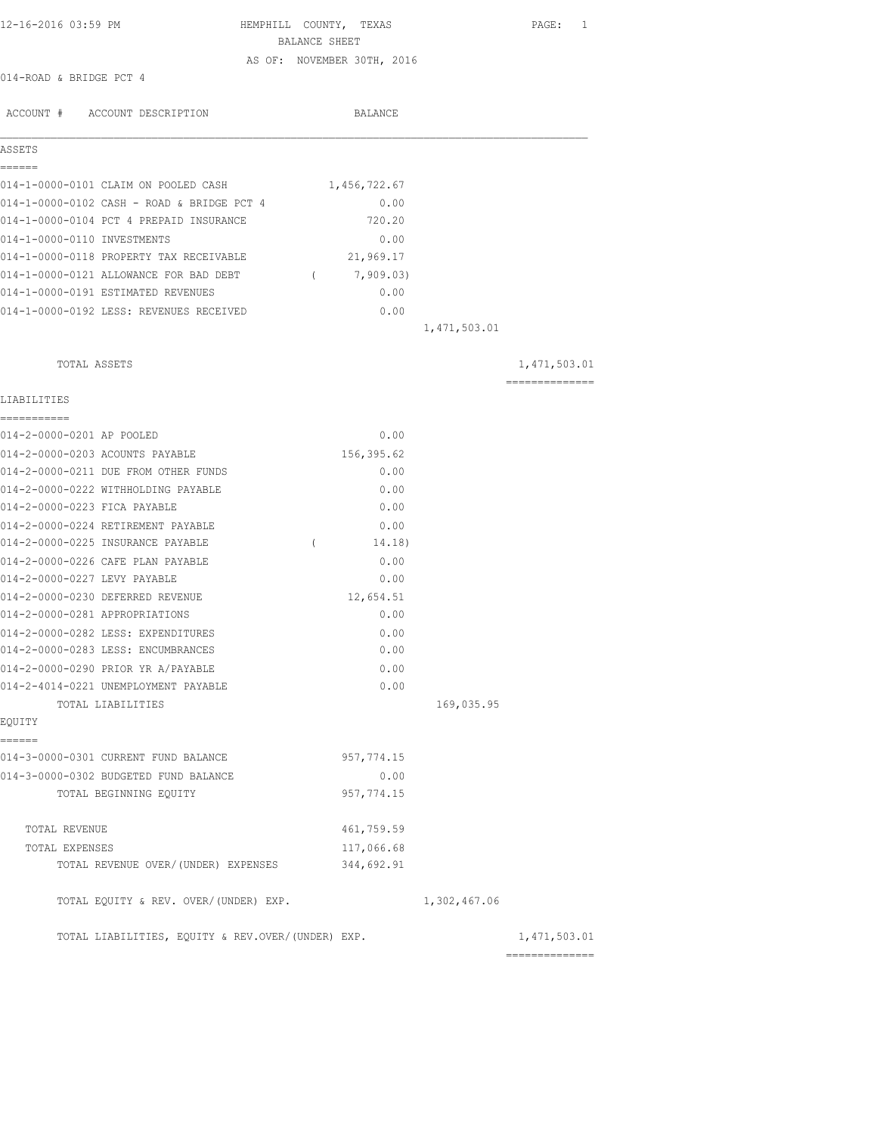| 12-16-2016 03:59 PM                               | HEMPHILL COUNTY, TEXAS     |              | PAGE: 1         |
|---------------------------------------------------|----------------------------|--------------|-----------------|
|                                                   | BALANCE SHEET              |              |                 |
| 014-ROAD & BRIDGE PCT 4                           | AS OF: NOVEMBER 30TH, 2016 |              |                 |
|                                                   |                            |              |                 |
| ACCOUNT # ACCOUNT DESCRIPTION                     | BALANCE                    |              |                 |
| ASSETS                                            |                            |              |                 |
| ======                                            |                            |              |                 |
| 014-1-0000-0101 CLAIM ON POOLED CASH              | 1,456,722.67               |              |                 |
| 014-1-0000-0102 CASH - ROAD & BRIDGE PCT 4        | 0.00                       |              |                 |
| 014-1-0000-0104 PCT 4 PREPAID INSURANCE           | 720.20                     |              |                 |
| 014-1-0000-0110 INVESTMENTS                       | 0.00                       |              |                 |
| 014-1-0000-0118 PROPERTY TAX RECEIVABLE           | 21,969.17                  |              |                 |
| 014-1-0000-0121 ALLOWANCE FOR BAD DEBT            | 7,909.03)<br>$\sim$ $\sim$ |              |                 |
| 014-1-0000-0191 ESTIMATED REVENUES                | 0.00                       |              |                 |
| 014-1-0000-0192 LESS: REVENUES RECEIVED           | 0.00                       |              |                 |
|                                                   |                            | 1,471,503.01 |                 |
| TOTAL ASSETS                                      |                            |              | 1,471,503.01    |
|                                                   |                            |              | --------------- |
| LIABILITIES                                       |                            |              |                 |
| -----------<br>014-2-0000-0201 AP POOLED          | 0.00                       |              |                 |
| 014-2-0000-0203 ACOUNTS PAYABLE                   | 156,395.62                 |              |                 |
| 014-2-0000-0211 DUE FROM OTHER FUNDS              | 0.00                       |              |                 |
| 014-2-0000-0222 WITHHOLDING PAYABLE               | 0.00                       |              |                 |
| 014-2-0000-0223 FICA PAYABLE                      | 0.00                       |              |                 |
| 014-2-0000-0224 RETIREMENT PAYABLE                | 0.00                       |              |                 |
| 014-2-0000-0225 INSURANCE PAYABLE                 | 14.18)<br>$\left($         |              |                 |
| 014-2-0000-0226 CAFE PLAN PAYABLE                 | 0.00                       |              |                 |
| 014-2-0000-0227 LEVY PAYABLE                      | 0.00                       |              |                 |
| 014-2-0000-0230 DEFERRED REVENUE                  | 12,654.51                  |              |                 |
| 014-2-0000-0281 APPROPRIATIONS                    | 0.00                       |              |                 |
| 014-2-0000-0282 LESS: EXPENDITURES                | 0.00                       |              |                 |
| 014-2-0000-0283 LESS: ENCUMBRANCES                | 0.00                       |              |                 |
| 014-2-0000-0290 PRIOR YR A/PAYABLE                | 0.00                       |              |                 |
| 014-2-4014-0221 UNEMPLOYMENT PAYABLE              | 0.00                       |              |                 |
| TOTAL LIABILITIES                                 |                            | 169,035.95   |                 |
| EOUITY                                            |                            |              |                 |
| ======                                            |                            |              |                 |
| 014-3-0000-0301 CURRENT FUND BALANCE              | 957, 774.15                |              |                 |
| 014-3-0000-0302 BUDGETED FUND BALANCE             | 0.00                       |              |                 |
| TOTAL BEGINNING EQUITY                            | 957, 774.15                |              |                 |
| TOTAL REVENUE                                     | 461,759.59                 |              |                 |
| TOTAL EXPENSES                                    | 117,066.68                 |              |                 |
| TOTAL REVENUE OVER/(UNDER) EXPENSES               | 344,692.91                 |              |                 |
| TOTAL EQUITY & REV. OVER/(UNDER) EXP.             |                            | 1,302,467.06 |                 |
| TOTAL LIABILITIES, EQUITY & REV.OVER/(UNDER) EXP. |                            |              | 1,471,503.01    |

==============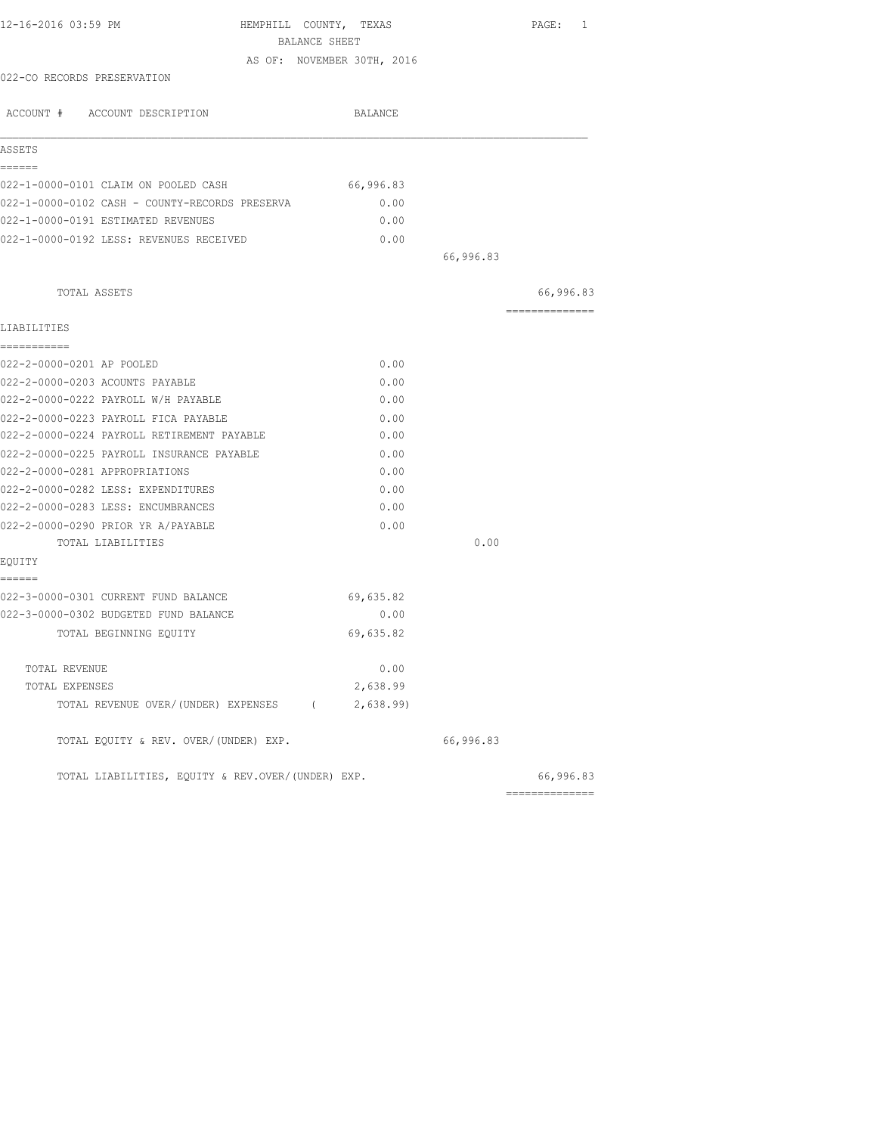|                                                    |                                                                                                                                                                          | PAGE: 1                      |
|----------------------------------------------------|--------------------------------------------------------------------------------------------------------------------------------------------------------------------------|------------------------------|
|                                                    |                                                                                                                                                                          |                              |
|                                                    |                                                                                                                                                                          |                              |
|                                                    |                                                                                                                                                                          |                              |
| BALANCE                                            |                                                                                                                                                                          |                              |
|                                                    |                                                                                                                                                                          |                              |
|                                                    |                                                                                                                                                                          |                              |
|                                                    |                                                                                                                                                                          |                              |
|                                                    |                                                                                                                                                                          |                              |
|                                                    |                                                                                                                                                                          |                              |
|                                                    | 66,996.83                                                                                                                                                                |                              |
|                                                    |                                                                                                                                                                          |                              |
|                                                    |                                                                                                                                                                          | 66,996.83<br>--------------- |
|                                                    |                                                                                                                                                                          |                              |
|                                                    |                                                                                                                                                                          |                              |
|                                                    |                                                                                                                                                                          |                              |
|                                                    |                                                                                                                                                                          |                              |
|                                                    |                                                                                                                                                                          |                              |
|                                                    |                                                                                                                                                                          |                              |
|                                                    |                                                                                                                                                                          |                              |
|                                                    |                                                                                                                                                                          |                              |
|                                                    |                                                                                                                                                                          |                              |
|                                                    |                                                                                                                                                                          |                              |
|                                                    |                                                                                                                                                                          |                              |
|                                                    |                                                                                                                                                                          |                              |
|                                                    |                                                                                                                                                                          |                              |
|                                                    |                                                                                                                                                                          |                              |
| 69,635.82                                          |                                                                                                                                                                          |                              |
| 0.00                                               |                                                                                                                                                                          |                              |
| 69,635.82                                          |                                                                                                                                                                          |                              |
|                                                    |                                                                                                                                                                          |                              |
| 2,638.99                                           |                                                                                                                                                                          |                              |
| TOTAL REVENUE OVER/(UNDER) EXPENSES (<br>2,638.99) |                                                                                                                                                                          |                              |
|                                                    | 66,996.83                                                                                                                                                                |                              |
| TOTAL LIABILITIES, EQUITY & REV.OVER/(UNDER) EXP.  |                                                                                                                                                                          | 66,996.83                    |
|                                                    | BALANCE SHEET<br>AS OF: NOVEMBER 30TH, 2016<br>66,996.83<br>0.00<br>0.00<br>0.00<br>0.00<br>0.00<br>0.00<br>0.00<br>0.00<br>0.00<br>0.00<br>0.00<br>0.00<br>0.00<br>0.00 | 0.00<br>--------------       |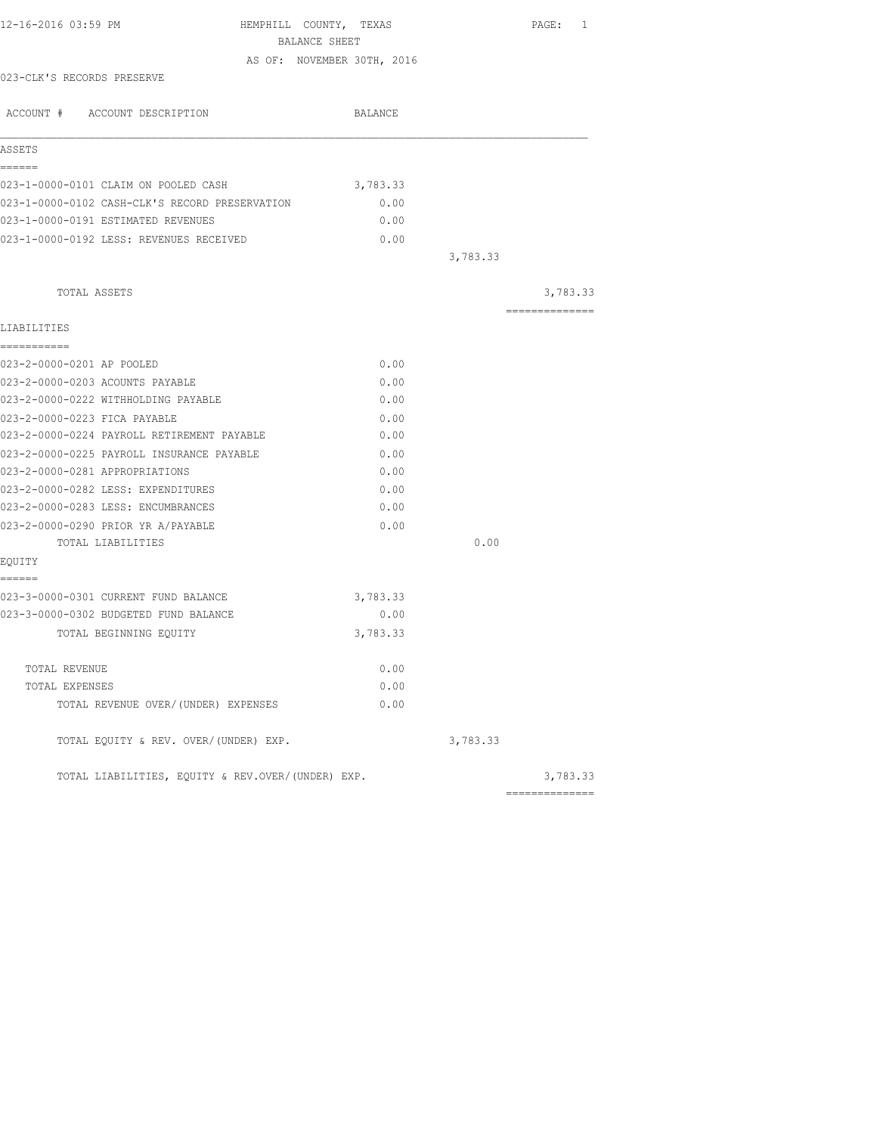| 12-16-2016 03:59 PM                               | HEMPHILL COUNTY, TEXAS<br>BALANCE SHEET |                            |          | PAGE: 1         |
|---------------------------------------------------|-----------------------------------------|----------------------------|----------|-----------------|
|                                                   |                                         |                            |          |                 |
| 023-CLK'S RECORDS PRESERVE                        |                                         | AS OF: NOVEMBER 30TH, 2016 |          |                 |
|                                                   |                                         |                            |          |                 |
| ACCOUNT # ACCOUNT DESCRIPTION                     |                                         | <b>BALANCE</b>             |          |                 |
| ASSETS                                            |                                         |                            |          |                 |
| ======                                            |                                         |                            |          |                 |
| 023-1-0000-0101 CLAIM ON POOLED CASH              |                                         | 3,783.33                   |          |                 |
| 023-1-0000-0102 CASH-CLK'S RECORD PRESERVATION    |                                         | 0.00                       |          |                 |
| 023-1-0000-0191 ESTIMATED REVENUES                |                                         | 0.00                       |          |                 |
| 023-1-0000-0192 LESS: REVENUES RECEIVED           |                                         | 0.00                       |          |                 |
|                                                   |                                         |                            | 3,783.33 |                 |
| TOTAL ASSETS                                      |                                         |                            |          | 3,783.33        |
|                                                   |                                         |                            |          | --------------- |
| LIABILITIES<br>===========                        |                                         |                            |          |                 |
| 023-2-0000-0201 AP POOLED                         |                                         | 0.00                       |          |                 |
| 023-2-0000-0203 ACOUNTS PAYABLE                   |                                         | 0.00                       |          |                 |
| 023-2-0000-0222 WITHHOLDING PAYABLE               |                                         | 0.00                       |          |                 |
| 023-2-0000-0223 FICA PAYABLE                      |                                         | 0.00                       |          |                 |
| 023-2-0000-0224 PAYROLL RETIREMENT PAYABLE        |                                         | 0.00                       |          |                 |
| 023-2-0000-0225 PAYROLL INSURANCE PAYABLE         |                                         | 0.00                       |          |                 |
| 023-2-0000-0281 APPROPRIATIONS                    |                                         | 0.00                       |          |                 |
| 023-2-0000-0282 LESS: EXPENDITURES                |                                         | 0.00                       |          |                 |
| 023-2-0000-0283 LESS: ENCUMBRANCES                |                                         | 0.00                       |          |                 |
| 023-2-0000-0290 PRIOR YR A/PAYABLE                |                                         | 0.00                       |          |                 |
| TOTAL LIABILITIES                                 |                                         |                            | 0.00     |                 |
| EQUITY                                            |                                         |                            |          |                 |
| ======                                            |                                         |                            |          |                 |
| 023-3-0000-0301 CURRENT FUND BALANCE              |                                         | 3,783.33                   |          |                 |
| 023-3-0000-0302 BUDGETED FUND BALANCE             |                                         | 0.00                       |          |                 |
| TOTAL BEGINNING EQUITY                            |                                         | 3,783.33                   |          |                 |
|                                                   |                                         |                            |          |                 |
| TOTAL REVENUE                                     |                                         | 0.00                       |          |                 |
| TOTAL EXPENSES                                    |                                         | 0.00                       |          |                 |
| TOTAL REVENUE OVER/(UNDER) EXPENSES               |                                         | 0.00                       |          |                 |
| TOTAL EQUITY & REV. OVER/(UNDER) EXP.             |                                         |                            | 3,783.33 |                 |
| TOTAL LIABILITIES, EQUITY & REV.OVER/(UNDER) EXP. |                                         |                            |          | 3,783.33        |
|                                                   |                                         |                            |          | ==============  |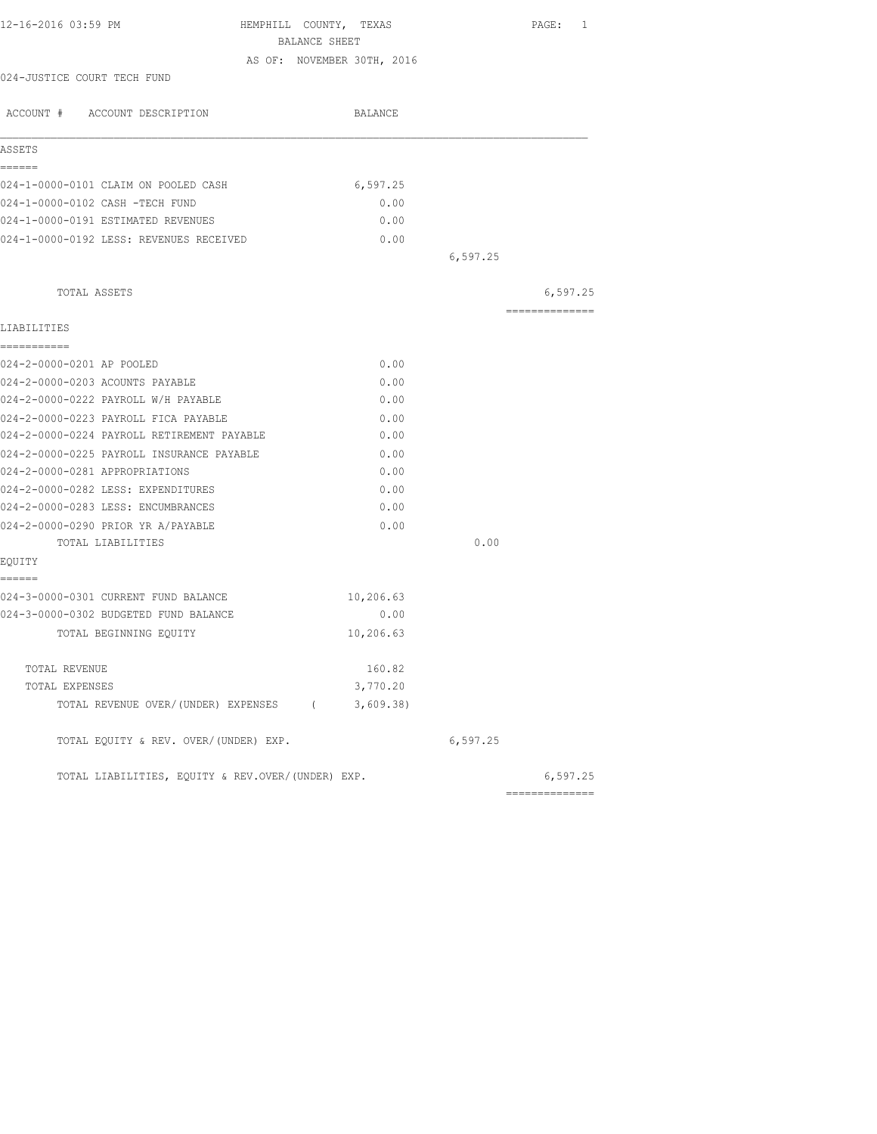|                                                   |                            |          | PAGE: 1         |
|---------------------------------------------------|----------------------------|----------|-----------------|
| BALANCE SHEET                                     |                            |          |                 |
| 024-JUSTICE COURT TECH FUND                       | AS OF: NOVEMBER 30TH, 2016 |          |                 |
|                                                   |                            |          |                 |
| ACCOUNT # ACCOUNT DESCRIPTION                     | BALANCE                    |          |                 |
|                                                   |                            |          |                 |
| ASSETS                                            |                            |          |                 |
| ======<br>024-1-0000-0101 CLAIM ON POOLED CASH    | 6,597.25                   |          |                 |
| 024-1-0000-0102 CASH -TECH FUND                   | 0.00                       |          |                 |
| 024-1-0000-0191 ESTIMATED REVENUES                | 0.00                       |          |                 |
| 024-1-0000-0192 LESS: REVENUES RECEIVED           | 0.00                       |          |                 |
|                                                   |                            | 6,597.25 |                 |
|                                                   |                            |          |                 |
| TOTAL ASSETS                                      |                            |          | 6, 597.25       |
|                                                   |                            |          | =============== |
| LIABILITIES                                       |                            |          |                 |
| ===========                                       |                            |          |                 |
| 024-2-0000-0201 AP POOLED                         | 0.00                       |          |                 |
| 024-2-0000-0203 ACOUNTS PAYABLE                   | 0.00                       |          |                 |
| 024-2-0000-0222 PAYROLL W/H PAYABLE               | 0.00                       |          |                 |
| 024-2-0000-0223 PAYROLL FICA PAYABLE              | 0.00                       |          |                 |
| 024-2-0000-0224 PAYROLL RETIREMENT PAYABLE        | 0.00                       |          |                 |
| 024-2-0000-0225 PAYROLL INSURANCE PAYABLE         | 0.00                       |          |                 |
| 024-2-0000-0281 APPROPRIATIONS                    | 0.00                       |          |                 |
| 024-2-0000-0282 LESS: EXPENDITURES                | 0.00                       |          |                 |
| 024-2-0000-0283 LESS: ENCUMBRANCES                | 0.00                       |          |                 |
| 024-2-0000-0290 PRIOR YR A/PAYABLE                | 0.00                       |          |                 |
| TOTAL LIABILITIES                                 |                            | 0.00     |                 |
| EQUITY                                            |                            |          |                 |
| ======                                            |                            |          |                 |
| 024-3-0000-0301 CURRENT FUND BALANCE              | 10,206.63                  |          |                 |
| 024-3-0000-0302 BUDGETED FUND BALANCE             | 0.00                       |          |                 |
| TOTAL BEGINNING EQUITY                            | 10,206.63                  |          |                 |
| TOTAL REVENUE                                     | 160.82                     |          |                 |
| TOTAL EXPENSES                                    | 3,770.20                   |          |                 |
| TOTAL REVENUE OVER/(UNDER) EXPENSES (             | 3,609.38                   |          |                 |
| TOTAL EQUITY & REV. OVER/(UNDER) EXP.             |                            | 6,597.25 |                 |
| TOTAL LIABILITIES, EQUITY & REV.OVER/(UNDER) EXP. |                            |          | 6, 597.25       |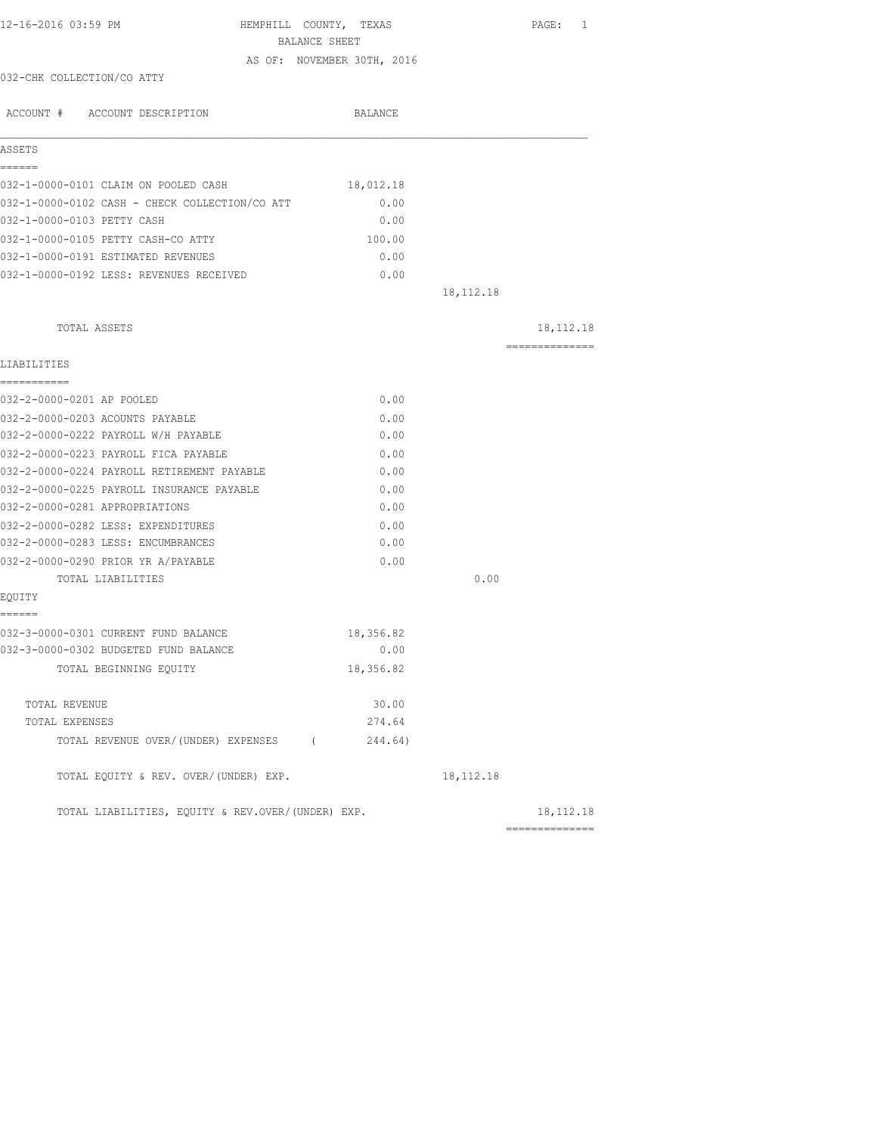| 12-16-2016 03:59 PM                               | HEMPHILL COUNTY, TEXAS<br>BALANCE SHEET |             | PAGE: 1        |
|---------------------------------------------------|-----------------------------------------|-------------|----------------|
|                                                   | AS OF: NOVEMBER 30TH, 2016              |             |                |
| 032-CHK COLLECTION/CO ATTY                        |                                         |             |                |
| ACCOUNT # ACCOUNT DESCRIPTION                     | BALANCE                                 |             |                |
| ASSETS                                            |                                         |             |                |
| ------                                            |                                         |             |                |
| 032-1-0000-0101 CLAIM ON POOLED CASH              | 18,012.18                               |             |                |
| 032-1-0000-0102 CASH - CHECK COLLECTION/CO ATT    | 0.00                                    |             |                |
| 032-1-0000-0103 PETTY CASH                        | 0.00                                    |             |                |
| 032-1-0000-0105 PETTY CASH-CO ATTY                | 100.00                                  |             |                |
| 032-1-0000-0191 ESTIMATED REVENUES                | 0.00                                    |             |                |
| 032-1-0000-0192 LESS: REVENUES RECEIVED           | 0.00                                    |             |                |
|                                                   |                                         | 18, 112. 18 |                |
| TOTAL ASSETS                                      |                                         |             | 18, 112. 18    |
| LIABILITIES                                       |                                         |             | ============== |
| -----------                                       |                                         |             |                |
| 032-2-0000-0201 AP POOLED                         | 0.00                                    |             |                |
| 032-2-0000-0203 ACOUNTS PAYABLE                   | 0.00                                    |             |                |
| 032-2-0000-0222 PAYROLL W/H PAYABLE               | 0.00                                    |             |                |
| 032-2-0000-0223 PAYROLL FICA PAYABLE              | 0.00                                    |             |                |
| 032-2-0000-0224 PAYROLL RETIREMENT PAYABLE        | 0.00                                    |             |                |
| 032-2-0000-0225 PAYROLL INSURANCE PAYABLE         | 0.00                                    |             |                |
| 032-2-0000-0281 APPROPRIATIONS                    | 0.00                                    |             |                |
| 032-2-0000-0282 LESS: EXPENDITURES                | 0.00                                    |             |                |
| 032-2-0000-0283 LESS: ENCUMBRANCES                | 0.00                                    |             |                |
| 032-2-0000-0290 PRIOR YR A/PAYABLE                | 0.00                                    |             |                |
| TOTAL LIABILITIES                                 |                                         | 0.00        |                |
| EQUITY<br>------                                  |                                         |             |                |
| 032-3-0000-0301 CURRENT FUND BALANCE              | 18,356.82                               |             |                |
| 032-3-0000-0302 BUDGETED FUND BALANCE             | 0.00                                    |             |                |
| TOTAL BEGINNING EQUITY                            | 18,356.82                               |             |                |
| TOTAL REVENUE                                     | 30.00                                   |             |                |
| TOTAL EXPENSES                                    | 274.64                                  |             |                |
| TOTAL REVENUE OVER/(UNDER) EXPENSES (             | 244.64)                                 |             |                |
| TOTAL EQUITY & REV. OVER/(UNDER) EXP.             |                                         | 18, 112. 18 |                |
| TOTAL LIABILITIES, EQUITY & REV.OVER/(UNDER) EXP. |                                         |             | 18, 112. 18    |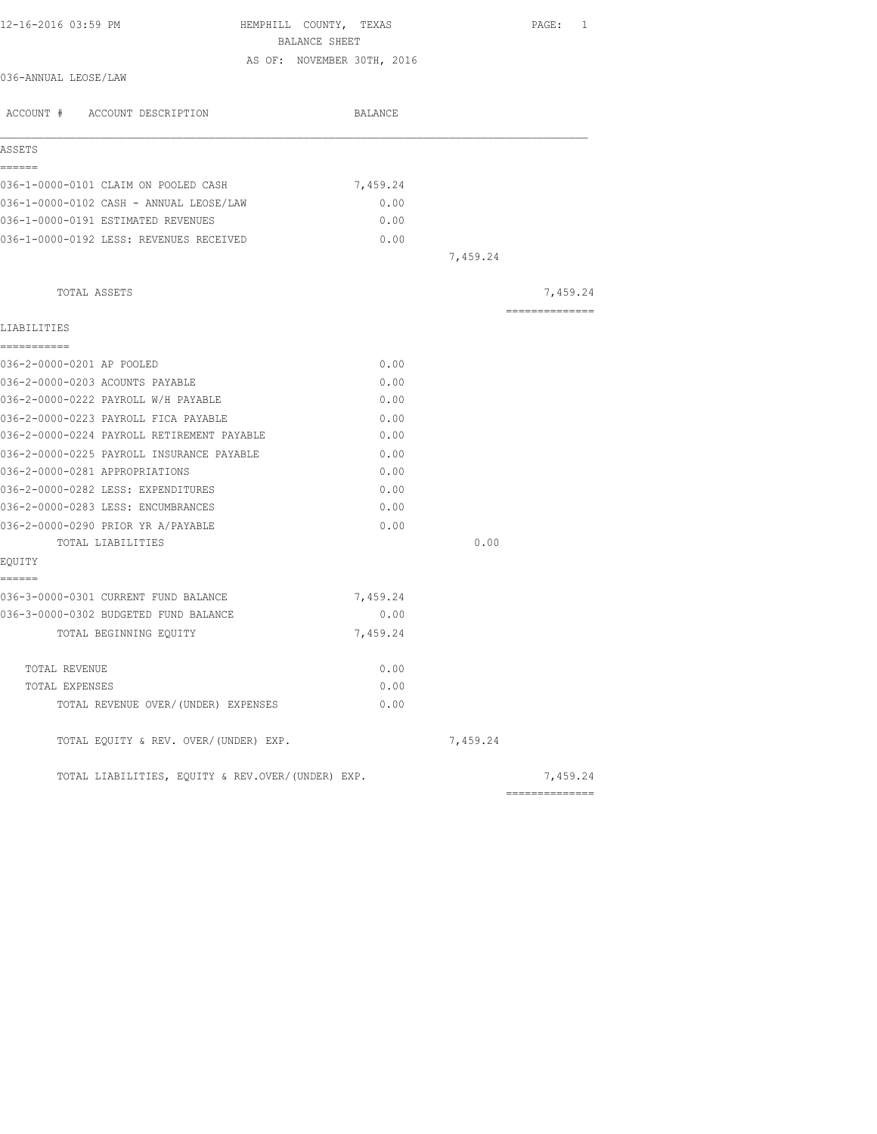| 12-16-2016 03:59 PM                                                         | HEMPHILL COUNTY, TEXAS<br>BALANCE SHEET | PAGE: 1        |
|-----------------------------------------------------------------------------|-----------------------------------------|----------------|
|                                                                             | AS OF: NOVEMBER 30TH, 2016              |                |
| 036-ANNUAL LEOSE/LAW                                                        |                                         |                |
| ACCOUNT # ACCOUNT DESCRIPTION                                               | BALANCE                                 |                |
| ASSETS                                                                      |                                         |                |
| ======                                                                      |                                         |                |
| 036-1-0000-0101 CLAIM ON POOLED CASH                                        | 7,459.24                                |                |
| 036-1-0000-0102 CASH - ANNUAL LEOSE/LAW                                     | 0.00                                    |                |
| 036-1-0000-0191 ESTIMATED REVENUES                                          | 0.00                                    |                |
| 036-1-0000-0192 LESS: REVENUES RECEIVED                                     | 0.00                                    |                |
|                                                                             |                                         | 7,459.24       |
| TOTAL ASSETS                                                                |                                         | 7,459.24       |
|                                                                             |                                         | ============== |
| LIABILITIES                                                                 |                                         |                |
| ------------<br>036-2-0000-0201 AP POOLED                                   | 0.00                                    |                |
|                                                                             |                                         |                |
| 036-2-0000-0203 ACOUNTS PAYABLE<br>036-2-0000-0222 PAYROLL W/H PAYABLE      | 0.00                                    |                |
| 036-2-0000-0223 PAYROLL FICA PAYABLE                                        | 0.00                                    |                |
| 036-2-0000-0224 PAYROLL RETIREMENT PAYABLE                                  | 0.00<br>0.00                            |                |
|                                                                             |                                         |                |
| 036-2-0000-0225 PAYROLL INSURANCE PAYABLE<br>036-2-0000-0281 APPROPRIATIONS | 0.00<br>0.00                            |                |
|                                                                             |                                         |                |
| 036-2-0000-0282 LESS: EXPENDITURES<br>036-2-0000-0283 LESS: ENCUMBRANCES    | 0.00<br>0.00                            |                |
| 036-2-0000-0290 PRIOR YR A/PAYABLE                                          | 0.00                                    |                |
| TOTAL LIABILITIES                                                           |                                         | 0.00           |
| EQUITY                                                                      |                                         |                |
| ======                                                                      |                                         |                |
| 036-3-0000-0301 CURRENT FUND BALANCE                                        | 7,459.24                                |                |
| 036-3-0000-0302 BUDGETED FUND BALANCE                                       | 0.00                                    |                |
| TOTAL BEGINNING EQUITY                                                      | 7,459.24                                |                |
|                                                                             |                                         |                |
| TOTAL REVENUE                                                               | 0.00                                    |                |
| TOTAL EXPENSES                                                              | 0.00                                    |                |
| TOTAL REVENUE OVER/ (UNDER) EXPENSES                                        | 0.00                                    |                |
| TOTAL EQUITY & REV. OVER/(UNDER) EXP.                                       |                                         | 7,459.24       |
| TOTAL LIABILITIES, EQUITY & REV.OVER/(UNDER) EXP.                           |                                         | 7,459.24       |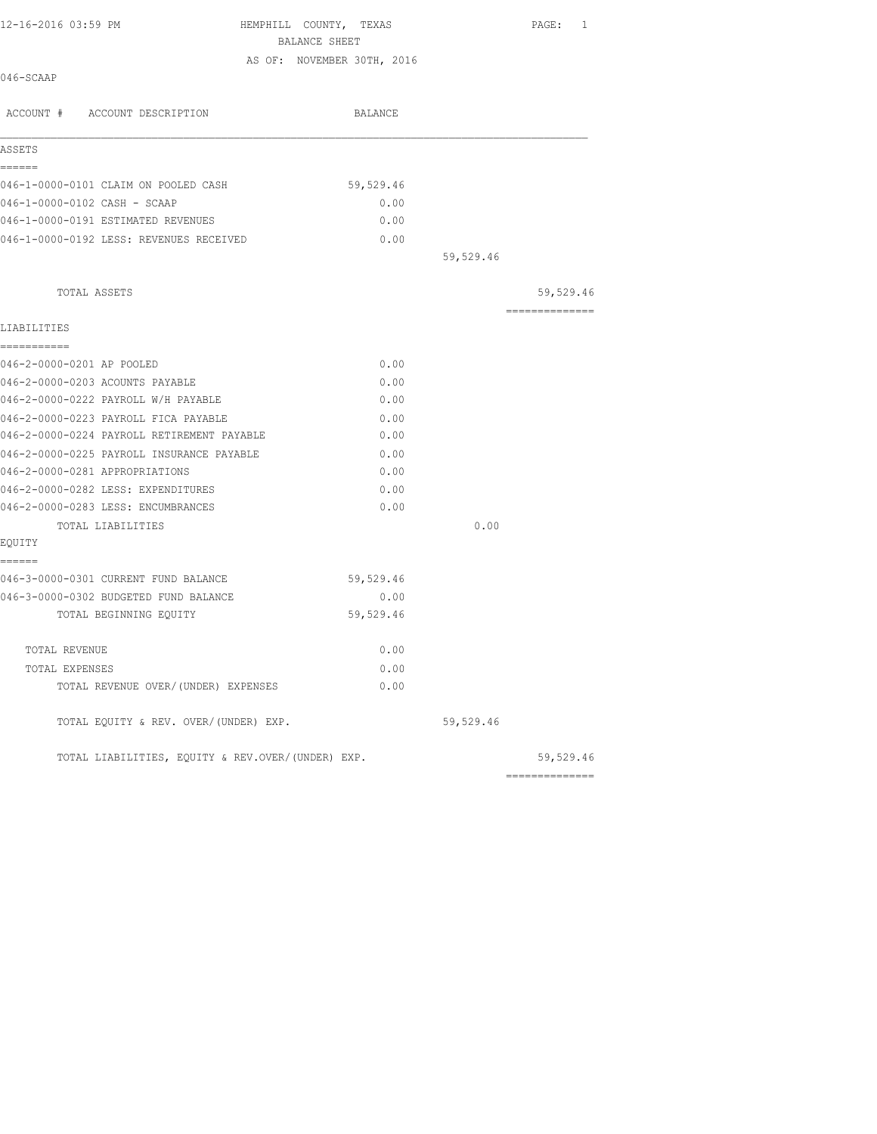| 12-16-2016 03:59 PM                        | HEMPHILL COUNTY, TEXAS<br>BALANCE SHEET |           | PAGE:<br>1     |
|--------------------------------------------|-----------------------------------------|-----------|----------------|
| 046-SCAAP                                  | AS OF: NOVEMBER 30TH, 2016              |           |                |
| ACCOUNT # ACCOUNT DESCRIPTION              | BALANCE                                 |           |                |
| ASSETS                                     |                                         |           |                |
| ======                                     |                                         |           |                |
| 046-1-0000-0101 CLAIM ON POOLED CASH       | 59,529.46                               |           |                |
| 046-1-0000-0102 CASH - SCAAP               | 0.00                                    |           |                |
| 046-1-0000-0191 ESTIMATED REVENUES         | 0.00                                    |           |                |
| 046-1-0000-0192 LESS: REVENUES RECEIVED    | 0.00                                    |           |                |
|                                            |                                         | 59,529.46 |                |
| TOTAL ASSETS                               |                                         |           | 59,529.46      |
| LIABILITIES                                |                                         |           | -------------- |
| ------------                               |                                         |           |                |
| 046-2-0000-0201 AP POOLED                  | 0.00                                    |           |                |
| 046-2-0000-0203 ACOUNTS PAYABLE            | 0.00                                    |           |                |
| 046-2-0000-0222 PAYROLL W/H PAYABLE        | 0.00                                    |           |                |
| 046-2-0000-0223 PAYROLL FICA PAYABLE       | 0.00                                    |           |                |
| 046-2-0000-0224 PAYROLL RETIREMENT PAYABLE | 0.00                                    |           |                |
| 046-2-0000-0225 PAYROLL INSURANCE PAYABLE  | 0.00                                    |           |                |
| 046-2-0000-0281 APPROPRIATIONS             | 0.00                                    |           |                |
| 046-2-0000-0282 LESS: EXPENDITURES         | 0.00                                    |           |                |
| 046-2-0000-0283 LESS: ENCUMBRANCES         | 0.00                                    |           |                |
| TOTAL LIABILITIES                          |                                         | 0.00      |                |
| EOUITY                                     |                                         |           |                |
| ------                                     |                                         |           |                |
| 046-3-0000-0301 CURRENT FUND BALANCE       | 59,529.46                               |           |                |
| 046-3-0000-0302 BUDGETED FUND BALANCE      | 0.00                                    |           |                |
| TOTAL BEGINNING EOUITY                     | 59,529.46                               |           |                |
|                                            |                                         |           |                |

TOTAL REVENUE  $0.00$ TOTAL EXPENSES 0.00 TOTAL REVENUE OVER/(UNDER) EXPENSES 0.00 TOTAL EQUITY & REV. OVER/(UNDER) EXP.  $59,529.46$ 

TOTAL LIABILITIES, EQUITY & REV.OVER/(UNDER) EXP.  $59,529.46$ 

==============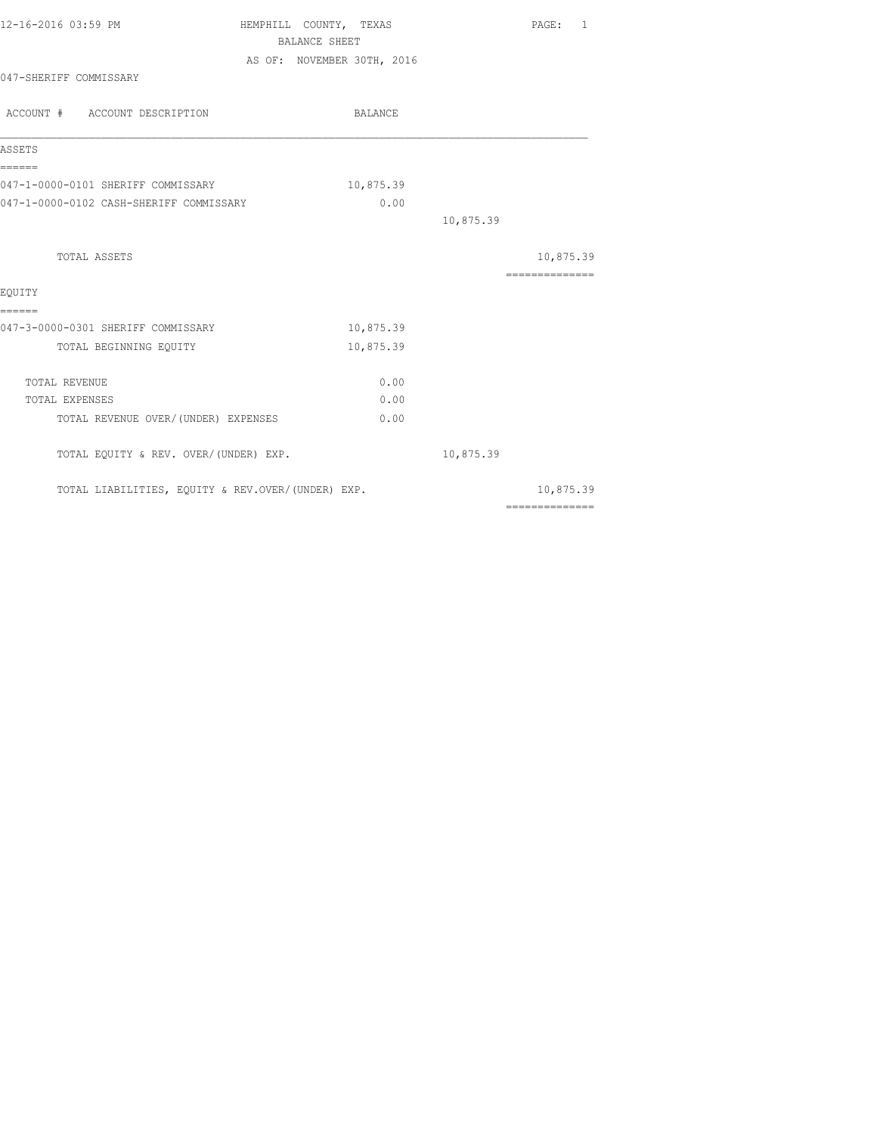| 12-16-2016 03:59 PM                               | HEMPHILL COUNTY, TEXAS |                            |           | PAGE: 1                                                                                                                                                                                                                                                                                                                                                                                                                                                                                |
|---------------------------------------------------|------------------------|----------------------------|-----------|----------------------------------------------------------------------------------------------------------------------------------------------------------------------------------------------------------------------------------------------------------------------------------------------------------------------------------------------------------------------------------------------------------------------------------------------------------------------------------------|
|                                                   | BALANCE SHEET          |                            |           |                                                                                                                                                                                                                                                                                                                                                                                                                                                                                        |
|                                                   |                        | AS OF: NOVEMBER 30TH, 2016 |           |                                                                                                                                                                                                                                                                                                                                                                                                                                                                                        |
| 047-SHERIFF COMMISSARY                            |                        |                            |           |                                                                                                                                                                                                                                                                                                                                                                                                                                                                                        |
| ACCOUNT # ACCOUNT DESCRIPTION                     |                        | BALANCE                    |           |                                                                                                                                                                                                                                                                                                                                                                                                                                                                                        |
| ASSETS                                            |                        |                            |           |                                                                                                                                                                                                                                                                                                                                                                                                                                                                                        |
| ======<br>047-1-0000-0101 SHERIFF COMMISSARY      |                        | 10,875.39                  |           |                                                                                                                                                                                                                                                                                                                                                                                                                                                                                        |
| 047-1-0000-0102 CASH-SHERIFF COMMISSARY           |                        | 0.00                       |           |                                                                                                                                                                                                                                                                                                                                                                                                                                                                                        |
|                                                   |                        |                            | 10,875.39 |                                                                                                                                                                                                                                                                                                                                                                                                                                                                                        |
| TOTAL ASSETS                                      |                        |                            |           | 10,875.39                                                                                                                                                                                                                                                                                                                                                                                                                                                                              |
|                                                   |                        |                            |           | $\begin{array}{cccccccccc} \multicolumn{2}{c}{} & \multicolumn{2}{c}{} & \multicolumn{2}{c}{} & \multicolumn{2}{c}{} & \multicolumn{2}{c}{} & \multicolumn{2}{c}{} & \multicolumn{2}{c}{} & \multicolumn{2}{c}{} & \multicolumn{2}{c}{} & \multicolumn{2}{c}{} & \multicolumn{2}{c}{} & \multicolumn{2}{c}{} & \multicolumn{2}{c}{} & \multicolumn{2}{c}{} & \multicolumn{2}{c}{} & \multicolumn{2}{c}{} & \multicolumn{2}{c}{} & \multicolumn{2}{c}{} & \multicolumn{2}{c}{} & \mult$ |
| EQUITY<br>======                                  |                        |                            |           |                                                                                                                                                                                                                                                                                                                                                                                                                                                                                        |
| 047-3-0000-0301 SHERIFF COMMISSARY                |                        | 10,875.39                  |           |                                                                                                                                                                                                                                                                                                                                                                                                                                                                                        |
| TOTAL BEGINNING EQUITY                            |                        | 10,875.39                  |           |                                                                                                                                                                                                                                                                                                                                                                                                                                                                                        |
| TOTAL REVENUE                                     |                        | 0.00                       |           |                                                                                                                                                                                                                                                                                                                                                                                                                                                                                        |
| TOTAL EXPENSES                                    |                        | 0.00                       |           |                                                                                                                                                                                                                                                                                                                                                                                                                                                                                        |
| TOTAL REVENUE OVER/ (UNDER) EXPENSES              |                        | 0.00                       |           |                                                                                                                                                                                                                                                                                                                                                                                                                                                                                        |
| TOTAL EQUITY & REV. OVER/(UNDER) EXP.             |                        |                            | 10,875.39 |                                                                                                                                                                                                                                                                                                                                                                                                                                                                                        |
| TOTAL LIABILITIES, EQUITY & REV.OVER/(UNDER) EXP. |                        |                            |           | 10,875.39                                                                                                                                                                                                                                                                                                                                                                                                                                                                              |
|                                                   |                        |                            |           | $\begin{array}{cccccccccc} \multicolumn{2}{c}{} & \multicolumn{2}{c}{} & \multicolumn{2}{c}{} & \multicolumn{2}{c}{} & \multicolumn{2}{c}{} & \multicolumn{2}{c}{} & \multicolumn{2}{c}{} & \multicolumn{2}{c}{} & \multicolumn{2}{c}{} & \multicolumn{2}{c}{} & \multicolumn{2}{c}{} & \multicolumn{2}{c}{} & \multicolumn{2}{c}{} & \multicolumn{2}{c}{} & \multicolumn{2}{c}{} & \multicolumn{2}{c}{} & \multicolumn{2}{c}{} & \multicolumn{2}{c}{} & \multicolumn{2}{c}{} & \mult$ |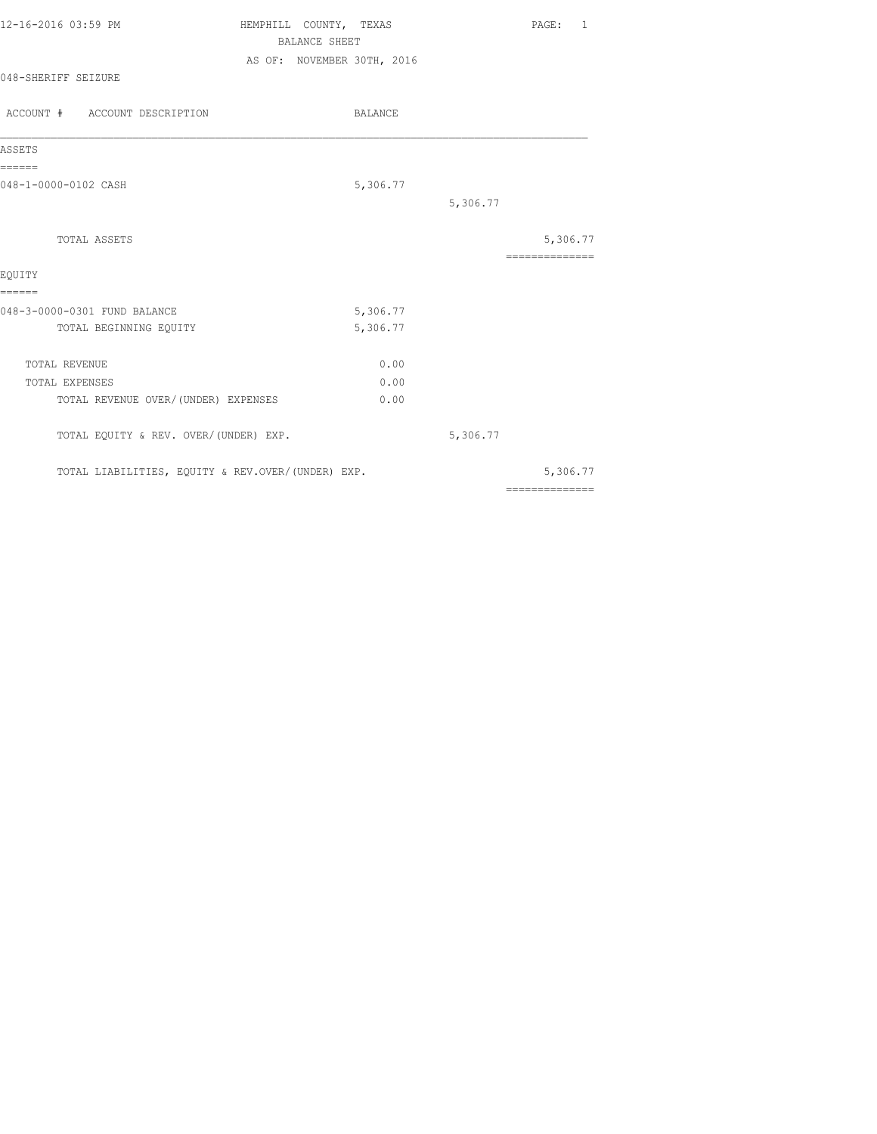| 12-16-2016 03:59 PM | HEMPHILL COUNTY, TEXAS     | $\texttt{PAGE}$ : |  |
|---------------------|----------------------------|-------------------|--|
|                     | BALANCE SHEET              |                   |  |
|                     | AS OF: NOVEMBER 30TH, 2016 |                   |  |
| 048-SHERIFF SEIZURE |                            |                   |  |
|                     |                            |                   |  |

| ACCOUNT # ACCOUNT DESCRIPTION                     | BALANCE  |          |                |
|---------------------------------------------------|----------|----------|----------------|
| ASSETS                                            |          |          |                |
| ======                                            |          |          |                |
| 048-1-0000-0102 CASH                              | 5,306.77 |          |                |
|                                                   |          | 5,306.77 |                |
| <b>TOTAL ASSETS</b>                               |          |          | 5,306.77       |
|                                                   |          |          | ============== |
| EOUITY                                            |          |          |                |
| ======                                            |          |          |                |
| 048-3-0000-0301 FUND BALANCE                      | 5,306.77 |          |                |
| TOTAL BEGINNING EQUITY                            | 5,306.77 |          |                |
| TOTAL REVENUE                                     | 0.00     |          |                |
| <b>TOTAL EXPENSES</b>                             | 0.00     |          |                |
| TOTAL REVENUE OVER/ (UNDER) EXPENSES              | 0.00     |          |                |
| TOTAL EQUITY & REV. OVER/(UNDER) EXP.             |          | 5,306.77 |                |
| TOTAL LIABILITIES, EQUITY & REV.OVER/(UNDER) EXP. |          |          | 5,306.77       |
|                                                   |          |          | ============== |